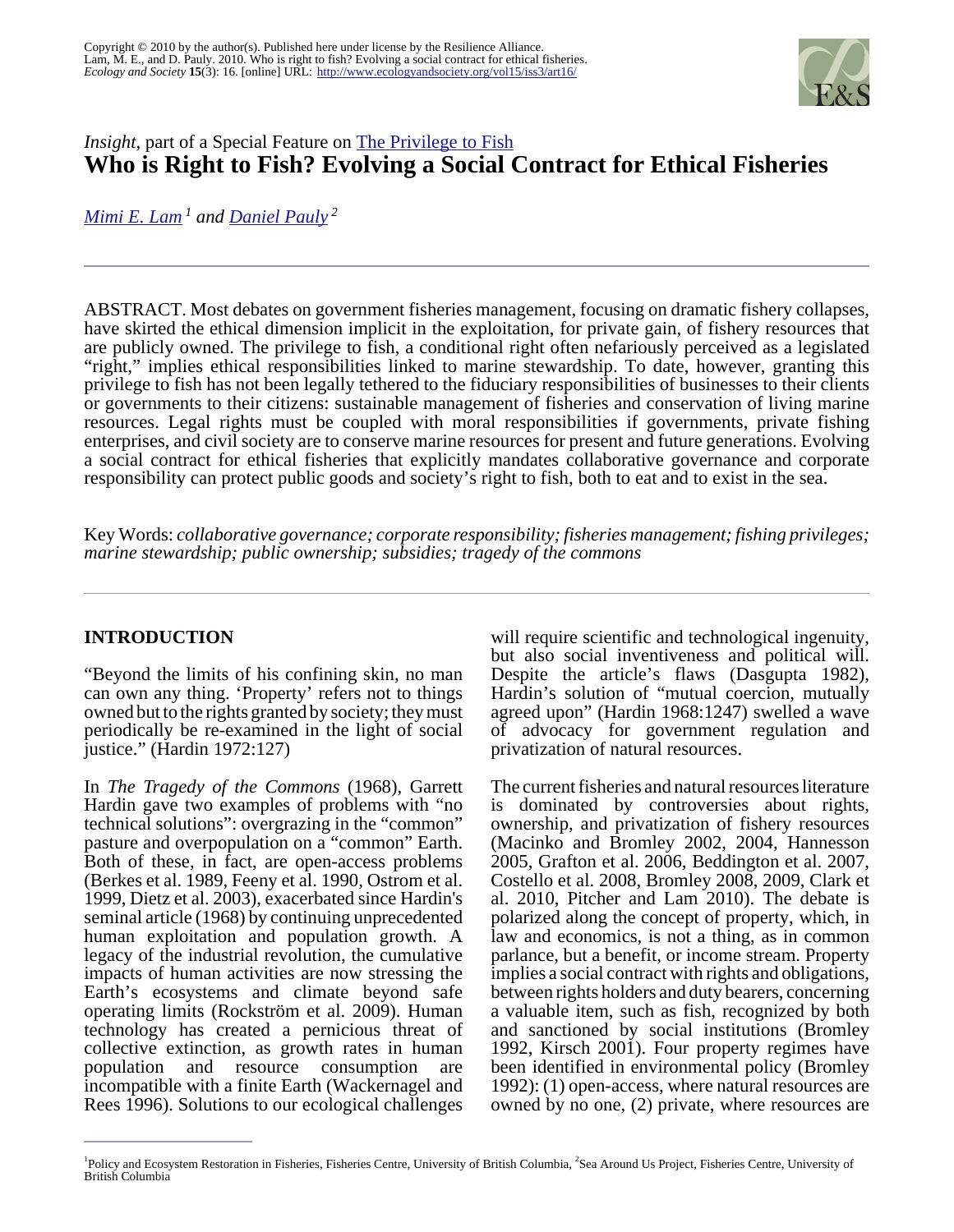

# *Insight*, part of a Special Feature on **[The Privilege to Fish](http://www.ecologyandsociety.org/viewissue.php?sf=37) Who is Right to Fish? Evolving a Social Contract for Ethical Fisheries**

*[Mimi E. Lam](mailto:m.lam@fisheries.ubc.ca)<sup>1</sup> and [Daniel Pauly](mailto:d.pauly@fisheries.ubc.ca)<sup>2</sup>*

ABSTRACT. Most debates on government fisheries management, focusing on dramatic fishery collapses, have skirted the ethical dimension implicit in the exploitation, for private gain, of fishery resources that are publicly owned. The privilege to fish, a conditional right often nefariously perceived as a legislated "right," implies ethical responsibilities linked to marine stewardship. To date, however, granting this privilege to fish has not been legally tethered to the fiduciary responsibilities of businesses to their clients or governments to their citizens: sustainable management of fisheries and conservation of living marine resources. Legal rights must be coupled with moral responsibilities if governments, private fishing enterprises, and civil society are to conserve marine resources for present and future generations. Evolving a social contract for ethical fisheries that explicitly mandates collaborative governance and corporate responsibility can protect public goods and society's right to fish, both to eat and to exist in the sea.

Key Words: *collaborative governance; corporate responsibility; fisheries management; fishing privileges; marine stewardship; public ownership; subsidies; tragedy of the commons* 

## **INTRODUCTION**

"Beyond the limits of his confining skin, no man can own any thing. 'Property' refers not to things owned but to the rights granted by society; they must periodically be re-examined in the light of social justice." (Hardin 1972:127)

In *The Tragedy of the Commons* (1968), Garrett Hardin gave two examples of problems with "no technical solutions": overgrazing in the "common" pasture and overpopulation on a "common" Earth. Both of these, in fact, are open-access problems (Berkes et al. 1989, Feeny et al. 1990, Ostrom et al. 1999, Dietz et al. 2003), exacerbated since Hardin's seminal article (1968) by continuing unprecedented human exploitation and population growth. A legacy of the industrial revolution, the cumulative impacts of human activities are now stressing the Earth's ecosystems and climate beyond safe operating limits (Rockström et al. 2009). Human technology has created a pernicious threat of collective extinction, as growth rates in human population and resource consumption are incompatible with a finite Earth (Wackernagel and Rees 1996). Solutions to our ecological challenges

will require scientific and technological ingenuity, but also social inventiveness and political will. Despite the article's flaws (Dasgupta 1982), Hardin's solution of "mutual coercion, mutually agreed upon" (Hardin 1968:1247) swelled a wave of advocacy for government regulation and privatization of natural resources.

The current fisheries and natural resources literature is dominated by controversies about rights, ownership, and privatization of fishery resources (Macinko and Bromley 2002, 2004, Hannesson 2005, Grafton et al. 2006, Beddington et al. 2007, Costello et al. 2008, Bromley 2008, 2009, Clark et al. 2010, Pitcher and Lam 2010). The debate is polarized along the concept of property, which, in law and economics, is not a thing, as in common parlance, but a benefit, or income stream. Property implies a social contract with rights and obligations, between rights holders and duty bearers, concerning a valuable item, such as fish, recognized by both and sanctioned by social institutions (Bromley 1992, Kirsch 2001). Four property regimes have been identified in environmental policy (Bromley 1992): (1) open-access, where natural resources are owned by no one, (2) private, where resources are

<sup>&</sup>lt;sup>1</sup>Policy and Ecosystem Restoration in Fisheries, Fisheries Centre, University of British Columbia, <sup>2</sup>Sea Around Us Project, Fisheries Centre, University of British Columbia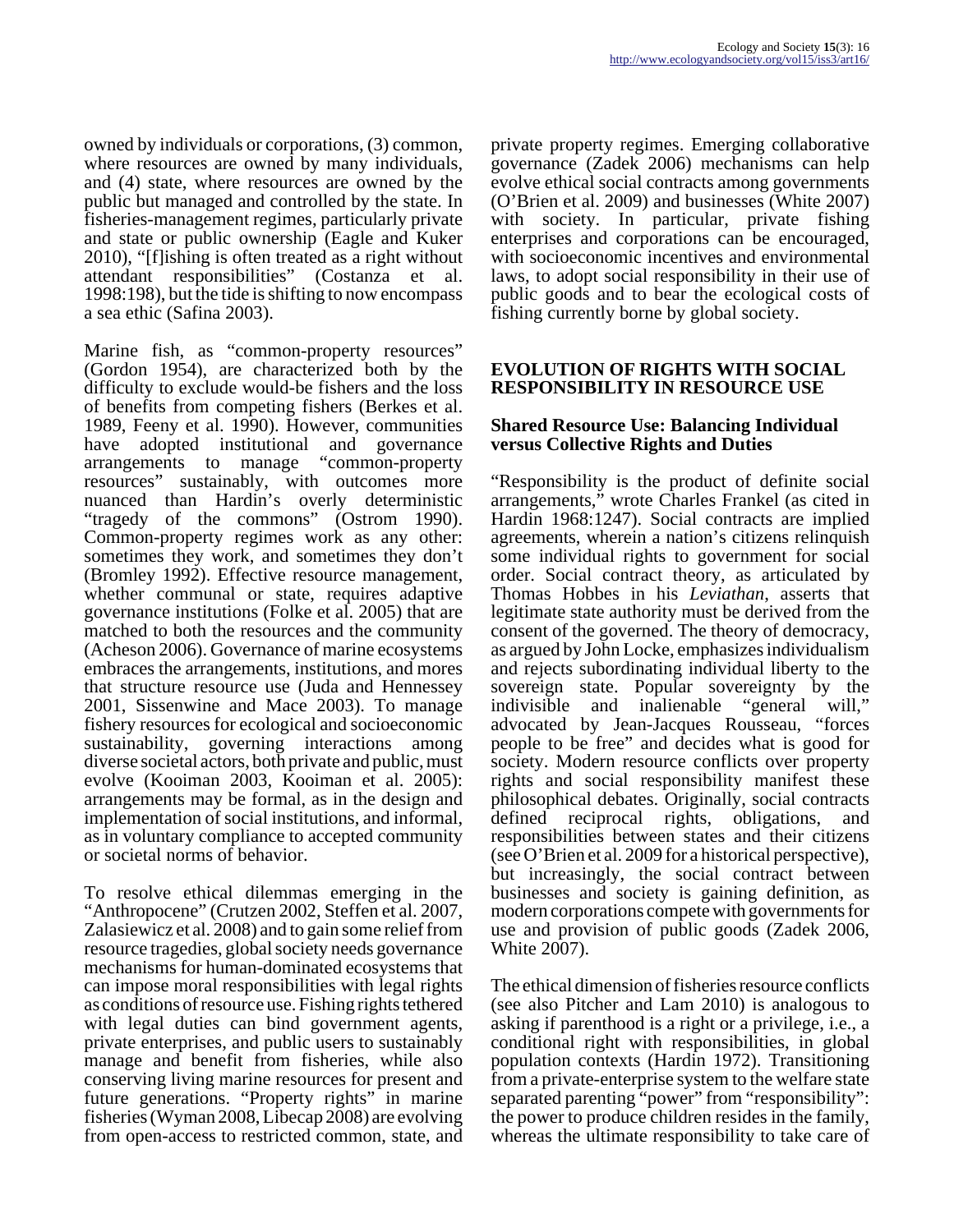owned by individuals or corporations, (3) common, where resources are owned by many individuals, and (4) state, where resources are owned by the public but managed and controlled by the state. In fisheries-management regimes, particularly private and state or public ownership (Eagle and Kuker 2010), "[f]ishing is often treated as a right without attendant responsibilities" (Costanza et al. 1998:198), but the tide is shifting to now encompass a sea ethic (Safina 2003).

Marine fish, as "common-property resources" (Gordon 1954), are characterized both by the difficulty to exclude would-be fishers and the loss of benefits from competing fishers (Berkes et al. 1989, Feeny et al. 1990). However, communities have adopted institutional and governance arrangements to manage "common-property resources" sustainably, with outcomes more nuanced than Hardin's overly deterministic "tragedy of the commons" (Ostrom 1990). Common-property regimes work as any other: sometimes they work, and sometimes they don't (Bromley 1992). Effective resource management, whether communal or state, requires adaptive governance institutions (Folke et al. 2005) that are matched to both the resources and the community (Acheson 2006). Governance of marine ecosystems embraces the arrangements, institutions, and mores that structure resource use (Juda and Hennessey 2001, Sissenwine and Mace 2003). To manage fishery resources for ecological and socioeconomic sustainability, governing interactions among diverse societal actors, both private and public, must evolve (Kooiman 2003, Kooiman et al. 2005): arrangements may be formal, as in the design and implementation of social institutions, and informal, as in voluntary compliance to accepted community or societal norms of behavior.

To resolve ethical dilemmas emerging in the "Anthropocene" (Crutzen 2002, Steffen et al. 2007, Zalasiewicz et al. 2008) and to gain some relief from resource tragedies, global society needs governance mechanisms for human-dominated ecosystems that can impose moral responsibilities with legal rights as conditions of resource use. Fishing rights tethered with legal duties can bind government agents, private enterprises, and public users to sustainably manage and benefit from fisheries, while also conserving living marine resources for present and future generations. "Property rights" in marine fisheries (Wyman 2008, Libecap 2008) are evolving from open-access to restricted common, state, and

private property regimes. Emerging collaborative governance (Zadek 2006) mechanisms can help evolve ethical social contracts among governments (O'Brien et al. 2009) and businesses (White 2007) with society. In particular, private fishing enterprises and corporations can be encouraged, with socioeconomic incentives and environmental laws, to adopt social responsibility in their use of public goods and to bear the ecological costs of fishing currently borne by global society.

#### **EVOLUTION OF RIGHTS WITH SOCIAL RESPONSIBILITY IN RESOURCE USE**

#### **Shared Resource Use: Balancing Individual versus Collective Rights and Duties**

"Responsibility is the product of definite social arrangements," wrote Charles Frankel (as cited in Hardin 1968:1247). Social contracts are implied agreements, wherein a nation's citizens relinquish some individual rights to government for social order. Social contract theory, as articulated by Thomas Hobbes in his *Leviathan*, asserts that legitimate state authority must be derived from the consent of the governed. The theory of democracy, as argued by John Locke, emphasizes individualism and rejects subordinating individual liberty to the sovereign state. Popular sovereignty by the indivisible and inalienable "general will," advocated by Jean-Jacques Rousseau, "forces people to be free" and decides what is good for society. Modern resource conflicts over property rights and social responsibility manifest these philosophical debates. Originally, social contracts defined reciprocal rights, obligations, and responsibilities between states and their citizens (see O'Brien et al. 2009 for a historical perspective), but increasingly, the social contract between businesses and society is gaining definition, as modern corporations compete with governments for use and provision of public goods (Zadek 2006, White 2007).

The ethical dimension of fisheries resource conflicts (see also Pitcher and Lam 2010) is analogous to asking if parenthood is a right or a privilege, i.e., a conditional right with responsibilities, in global population contexts (Hardin 1972). Transitioning from a private-enterprise system to the welfare state separated parenting "power" from "responsibility": the power to produce children resides in the family, whereas the ultimate responsibility to take care of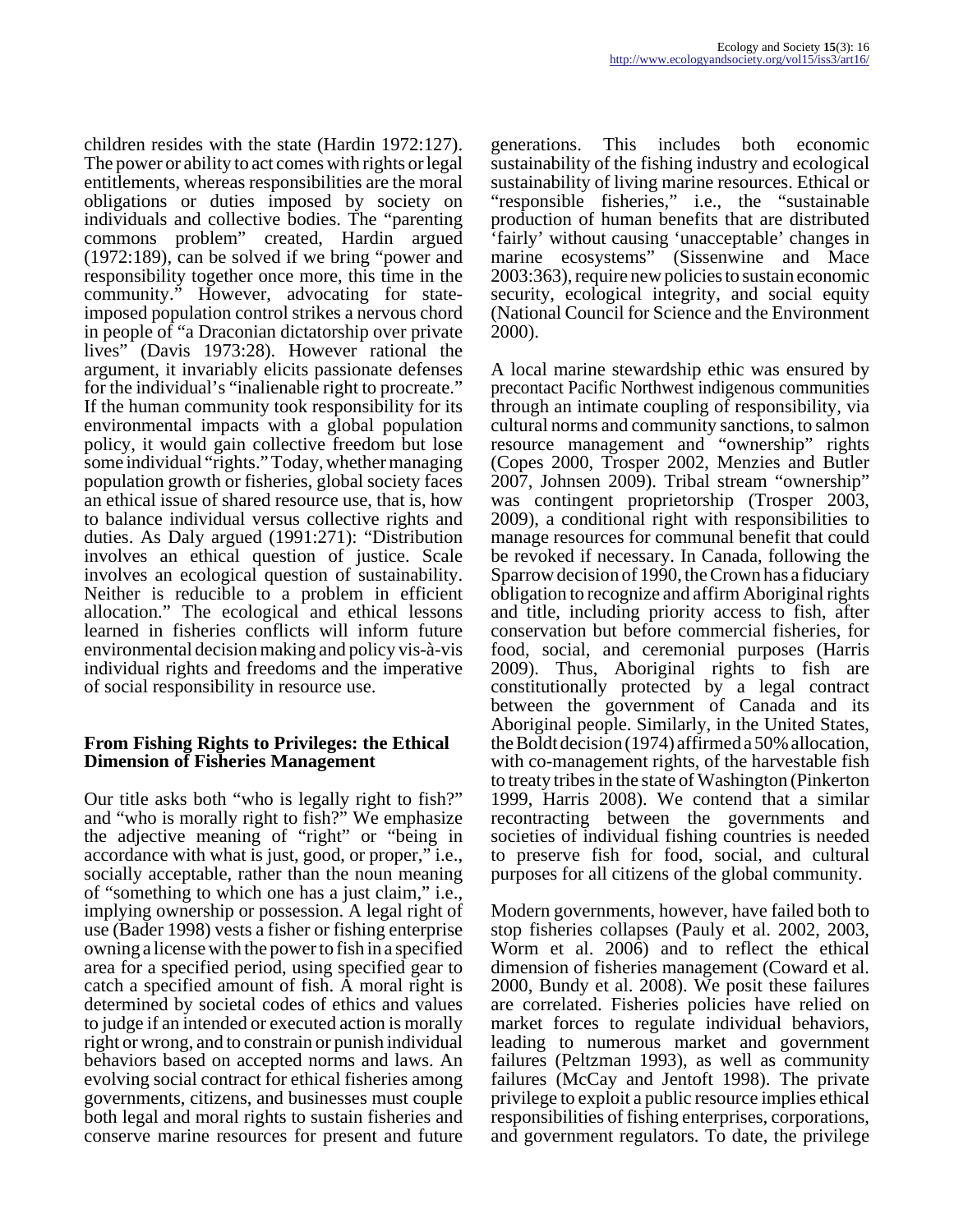children resides with the state (Hardin 1972:127). The power or ability to act comes with rights or legal entitlements, whereas responsibilities are the moral obligations or duties imposed by society on individuals and collective bodies. The "parenting commons problem" created, Hardin argued (1972:189), can be solved if we bring "power and responsibility together once more, this time in the community." However, advocating for stateimposed population control strikes a nervous chord in people of "a Draconian dictatorship over private lives" (Davis 1973:28). However rational the argument, it invariably elicits passionate defenses for the individual's "inalienable right to procreate." If the human community took responsibility for its environmental impacts with a global population policy, it would gain collective freedom but lose some individual "rights." Today, whether managing population growth or fisheries, global society faces an ethical issue of shared resource use, that is, how to balance individual versus collective rights and duties. As Daly argued (1991:271): "Distribution involves an ethical question of justice. Scale involves an ecological question of sustainability. Neither is reducible to a problem in efficient allocation." The ecological and ethical lessons learned in fisheries conflicts will inform future environmental decision making and policy vis-à-vis individual rights and freedoms and the imperative of social responsibility in resource use.

#### **From Fishing Rights to Privileges: the Ethical Dimension of Fisheries Management**

Our title asks both "who is legally right to fish?" and "who is morally right to fish?" We emphasize the adjective meaning of "right" or "being in accordance with what is just, good, or proper," i.e., socially acceptable, rather than the noun meaning of "something to which one has a just claim," i.e., implying ownership or possession. A legal right of use (Bader 1998) vests a fisher or fishing enterprise owning a license with the power to fish in a specified area for a specified period, using specified gear to catch a specified amount of fish. A moral right is determined by societal codes of ethics and values to judge if an intended or executed action is morally right or wrong, and to constrain or punish individual behaviors based on accepted norms and laws. An evolving social contract for ethical fisheries among governments, citizens, and businesses must couple both legal and moral rights to sustain fisheries and conserve marine resources for present and future

generations. This includes both economic sustainability of the fishing industry and ecological sustainability of living marine resources. Ethical or "responsible fisheries," i.e., the "sustainable production of human benefits that are distributed 'fairly' without causing 'unacceptable' changes in marine ecosystems" (Sissenwine and Mace 2003:363), require new policies to sustain economic security, ecological integrity, and social equity (National Council for Science and the Environment 2000).

A local marine stewardship ethic was ensured by precontact Pacific Northwest indigenous communities through an intimate coupling of responsibility, via cultural norms and community sanctions, to salmon resource management and "ownership" rights (Copes 2000, Trosper 2002, Menzies and Butler 2007, Johnsen 2009). Tribal stream "ownership" was contingent proprietorship (Trosper 2003, 2009), a conditional right with responsibilities to manage resources for communal benefit that could be revoked if necessary. In Canada, following the Sparrow decision of 1990, the Crown has a fiduciary obligation to recognize and affirm Aboriginal rights and title, including priority access to fish, after conservation but before commercial fisheries, for food, social, and ceremonial purposes (Harris 2009). Thus, Aboriginal rights to fish are constitutionally protected by a legal contract between the government of Canada and its Aboriginal people. Similarly, in the United States, the Boldt decision (1974) affirmed a 50% allocation, with co-management rights, of the harvestable fish to treaty tribes in the state of Washington (Pinkerton 1999, Harris 2008). We contend that a similar recontracting between the governments and societies of individual fishing countries is needed to preserve fish for food, social, and cultural purposes for all citizens of the global community.

Modern governments, however, have failed both to stop fisheries collapses (Pauly et al. 2002, 2003, Worm et al. 2006) and to reflect the ethical dimension of fisheries management (Coward et al. 2000, Bundy et al. 2008). We posit these failures are correlated. Fisheries policies have relied on market forces to regulate individual behaviors, leading to numerous market and government failures (Peltzman 1993), as well as community failures (McCay and Jentoft 1998). The private privilege to exploit a public resource implies ethical responsibilities of fishing enterprises, corporations, and government regulators. To date, the privilege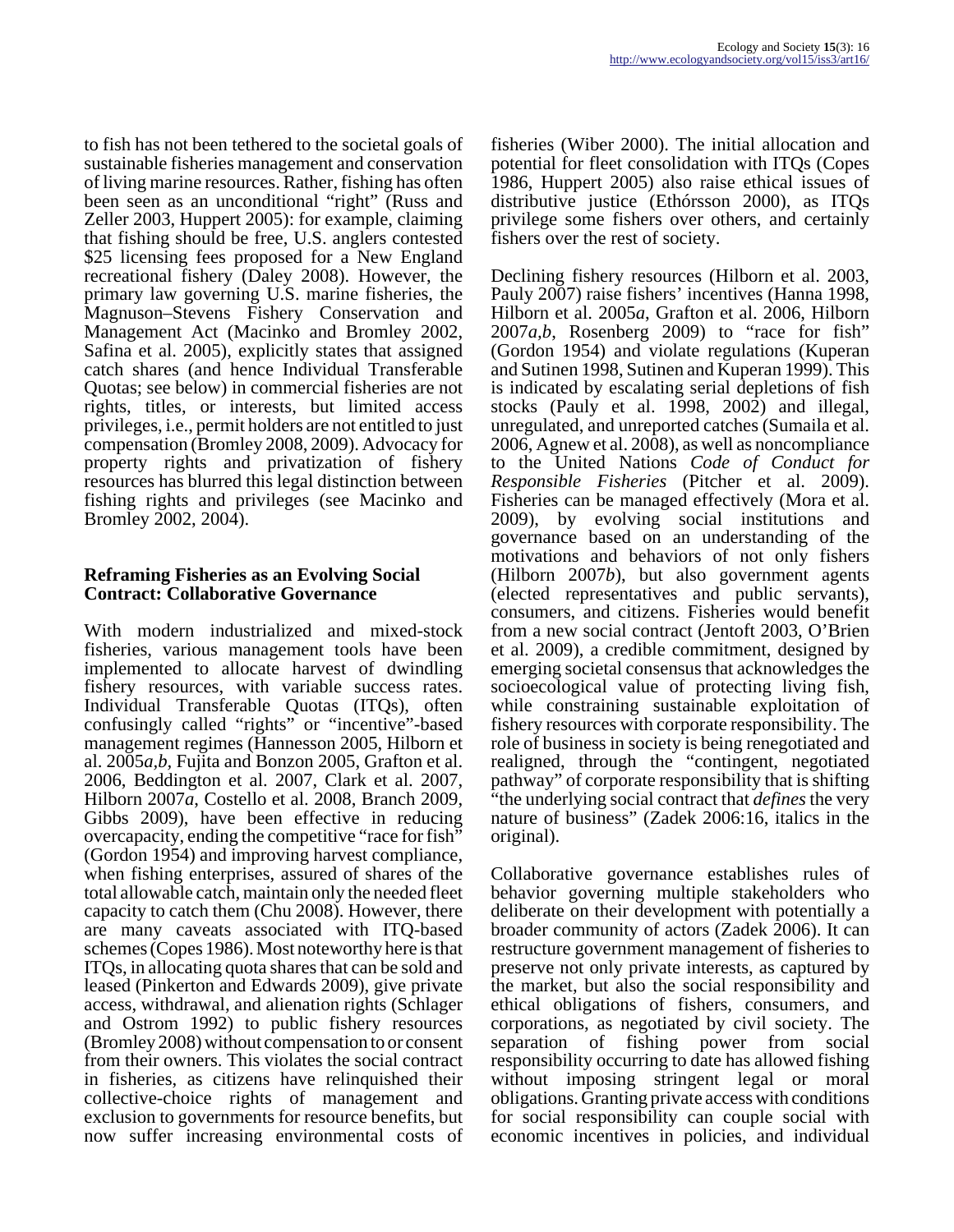to fish has not been tethered to the societal goals of sustainable fisheries management and conservation of living marine resources. Rather, fishing has often been seen as an unconditional "right" (Russ and Zeller 2003, Huppert 2005): for example, claiming that fishing should be free, U.S. anglers contested \$25 licensing fees proposed for a New England recreational fishery (Daley 2008). However, the primary law governing U.S. marine fisheries, the Magnuson–Stevens Fishery Conservation and Management Act (Macinko and Bromley 2002, Safina et al. 2005), explicitly states that assigned catch shares (and hence Individual Transferable Quotas; see below) in commercial fisheries are not rights, titles, or interests, but limited access privileges, i.e., permit holders are not entitled to just compensation (Bromley 2008, 2009). Advocacy for property rights and privatization of fishery resources has blurred this legal distinction between fishing rights and privileges (see Macinko and Bromley 2002, 2004).

## **Reframing Fisheries as an Evolving Social Contract: Collaborative Governance**

With modern industrialized and mixed-stock fisheries, various management tools have been implemented to allocate harvest of dwindling fishery resources, with variable success rates. Individual Transferable Quotas (ITQs), often confusingly called "rights" or "incentive"-based management regimes (Hannesson 2005, Hilborn et al. 2005*a,b,* Fujita and Bonzon 2005, Grafton et al. 2006, Beddington et al. 2007, Clark et al. 2007, Hilborn 2007*a*, Costello et al. 2008, Branch 2009, Gibbs 2009), have been effective in reducing overcapacity, ending the competitive "race for fish" (Gordon 1954) and improving harvest compliance, when fishing enterprises, assured of shares of the total allowable catch, maintain only the needed fleet capacity to catch them (Chu 2008). However, there are many caveats associated with ITQ-based schemes (Copes 1986). Most noteworthy here is that ITQs, in allocating quota shares that can be sold and leased (Pinkerton and Edwards 2009), give private access, withdrawal, and alienation rights (Schlager and Ostrom 1992) to public fishery resources (Bromley 2008) without compensation to or consent from their owners. This violates the social contract in fisheries, as citizens have relinquished their collective-choice rights of management and exclusion to governments for resource benefits, but now suffer increasing environmental costs of

fisheries (Wiber 2000). The initial allocation and potential for fleet consolidation with ITQs (Copes 1986, Huppert 2005) also raise ethical issues of distributive justice (Ethórsson 2000), as ITQs privilege some fishers over others, and certainly fishers over the rest of society.

Declining fishery resources (Hilborn et al. 2003, Pauly 2007) raise fishers' incentives (Hanna 1998, Hilborn et al. 2005*a*, Grafton et al. 2006, Hilborn 2007*a,b*, Rosenberg 2009) to "race for fish" (Gordon 1954) and violate regulations (Kuperan and Sutinen 1998, Sutinen and Kuperan 1999). This is indicated by escalating serial depletions of fish stocks (Pauly et al. 1998, 2002) and illegal, unregulated, and unreported catches (Sumaila et al. 2006, Agnew et al. 2008), as well as noncompliance to the United Nations *Code of Conduct for Responsible Fisheries* (Pitcher et al. 2009). Fisheries can be managed effectively (Mora et al. 2009), by evolving social institutions and governance based on an understanding of the motivations and behaviors of not only fishers (Hilborn 2007*b*), but also government agents (elected representatives and public servants), consumers, and citizens. Fisheries would benefit from a new social contract (Jentoft 2003, O'Brien et al. 2009), a credible commitment, designed by emerging societal consensus that acknowledges the socioecological value of protecting living fish, while constraining sustainable exploitation of fishery resources with corporate responsibility. The role of business in society is being renegotiated and realigned, through the "contingent, negotiated pathway" of corporate responsibility that is shifting "the underlying social contract that *defines* the very nature of business" (Zadek 2006:16, italics in the original).

Collaborative governance establishes rules of behavior governing multiple stakeholders who deliberate on their development with potentially a broader community of actors (Zadek 2006). It can restructure government management of fisheries to preserve not only private interests, as captured by the market, but also the social responsibility and ethical obligations of fishers, consumers, and corporations, as negotiated by civil society. The separation of fishing power from social responsibility occurring to date has allowed fishing without imposing stringent legal or moral obligations. Granting private access with conditions for social responsibility can couple social with economic incentives in policies, and individual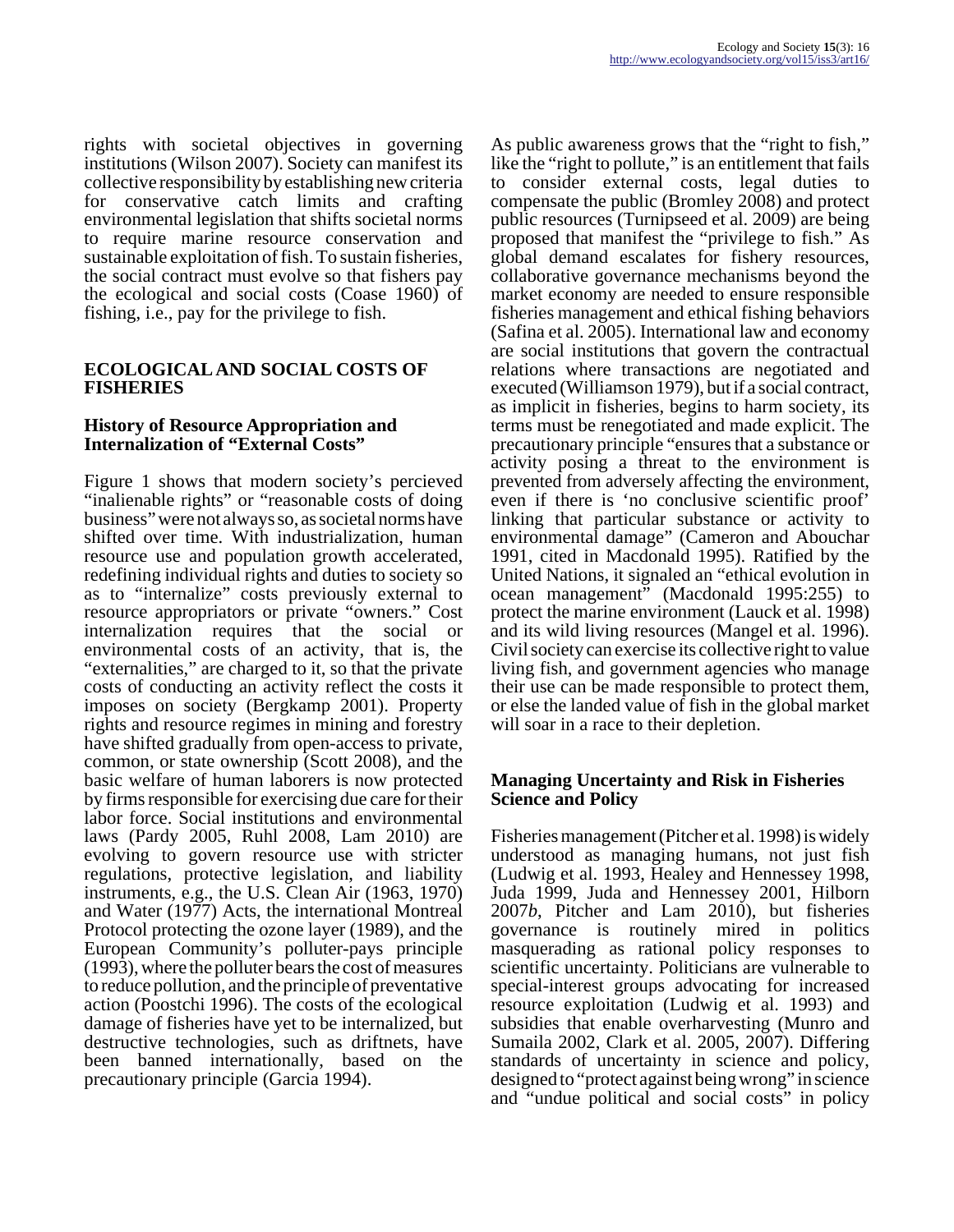rights with societal objectives in governing institutions (Wilson 2007). Society can manifest its collective responsibility by establishing new criteria for conservative catch limits and crafting environmental legislation that shifts societal norms to require marine resource conservation and sustainable exploitation of fish. To sustain fisheries, the social contract must evolve so that fishers pay the ecological and social costs (Coase 1960) of fishing, i.e., pay for the privilege to fish.

#### **ECOLOGICAL AND SOCIAL COSTS OF FISHERIES**

#### **History of Resource Appropriation and Internalization of "External Costs"**

Figure 1 shows that modern society's percieved "inalienable rights" or "reasonable costs of doing business" were not always so, as societal norms have shifted over time. With industrialization, human resource use and population growth accelerated, redefining individual rights and duties to society so as to "internalize" costs previously external to resource appropriators or private "owners." Cost internalization requires that the social or environmental costs of an activity, that is, the "externalities," are charged to it, so that the private costs of conducting an activity reflect the costs it imposes on society (Bergkamp 2001). Property rights and resource regimes in mining and forestry have shifted gradually from open-access to private, common, or state ownership (Scott 2008), and the basic welfare of human laborers is now protected by firms responsible for exercising due care for their labor force. Social institutions and environmental laws (Pardy 2005, Ruhl 2008, Lam 2010) are evolving to govern resource use with stricter regulations, protective legislation, and liability instruments, e.g., the U.S. Clean Air (1963, 1970) and Water (1977) Acts, the international Montreal Protocol protecting the ozone layer (1989), and the European Community's polluter-pays principle (1993), where the polluter bears the cost of measures to reduce pollution, and the principle of preventative action (Poostchi 1996). The costs of the ecological damage of fisheries have yet to be internalized, but destructive technologies, such as driftnets, have been banned internationally, based on the precautionary principle (Garcia 1994).

As public awareness grows that the "right to fish," like the "right to pollute," is an entitlement that fails to consider external costs, legal duties to compensate the public (Bromley 2008) and protect public resources (Turnipseed et al. 2009) are being proposed that manifest the "privilege to fish." As global demand escalates for fishery resources, collaborative governance mechanisms beyond the market economy are needed to ensure responsible fisheries management and ethical fishing behaviors (Safina et al. 2005). International law and economy are social institutions that govern the contractual relations where transactions are negotiated and executed (Williamson 1979), but if a social contract, as implicit in fisheries, begins to harm society, its terms must be renegotiated and made explicit. The precautionary principle "ensures that a substance or activity posing a threat to the environment is prevented from adversely affecting the environment, even if there is 'no conclusive scientific proof' linking that particular substance or activity to environmental damage" (Cameron and Abouchar 1991, cited in Macdonald 1995). Ratified by the United Nations, it signaled an "ethical evolution in ocean management" (Macdonald 1995:255) to protect the marine environment (Lauck et al. 1998) and its wild living resources (Mangel et al. 1996). Civil society can exercise its collective right to value living fish, and government agencies who manage their use can be made responsible to protect them, or else the landed value of fish in the global market will soar in a race to their depletion.

#### **Managing Uncertainty and Risk in Fisheries Science and Policy**

Fisheries management (Pitcher et al. 1998) is widely understood as managing humans, not just fish (Ludwig et al. 1993, Healey and Hennessey 1998, Juda 1999, Juda and Hennessey 2001, Hilborn 2007*b*, Pitcher and Lam 2010), but fisheries governance is routinely mired in politics masquerading as rational policy responses to scientific uncertainty. Politicians are vulnerable to special-interest groups advocating for increased resource exploitation (Ludwig et al. 1993) and subsidies that enable overharvesting (Munro and Sumaila 2002, Clark et al. 2005, 2007). Differing standards of uncertainty in science and policy, designed to "protect against being wrong" in science and "undue political and social costs" in policy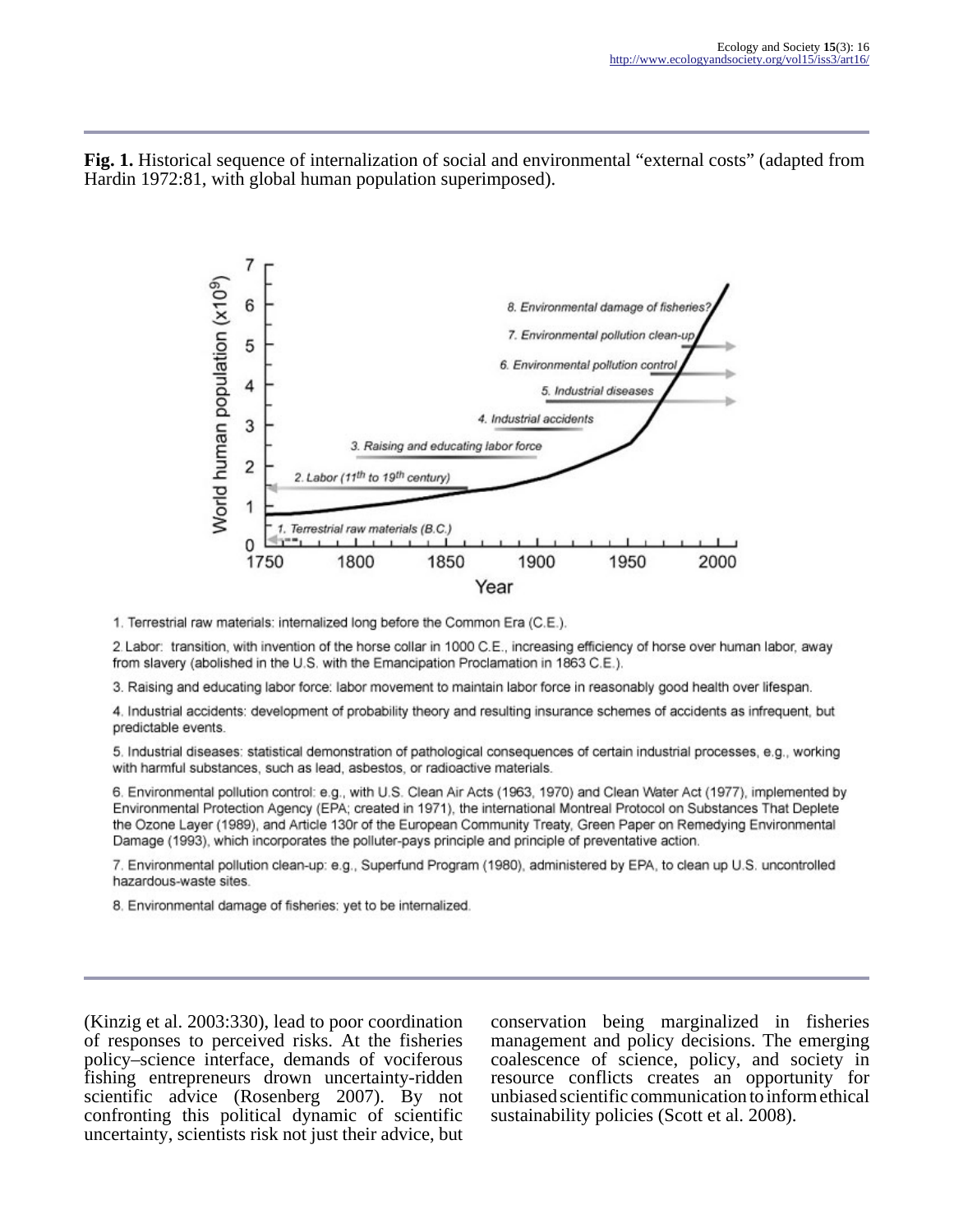**Fig. 1.** Historical sequence of internalization of social and environmental "external costs" (adapted from Hardin 1972:81, with global human population superimposed).



1. Terrestrial raw materials: internalized long before the Common Era (C.E.).

2. Labor: transition, with invention of the horse collar in 1000 C.E., increasing efficiency of horse over human labor, away from slavery (abolished in the U.S. with the Emancipation Proclamation in 1863 C.E.).

3. Raising and educating labor force: labor movement to maintain labor force in reasonably good health over lifespan.

4. Industrial accidents: development of probability theory and resulting insurance schemes of accidents as infrequent, but predictable events.

5. Industrial diseases: statistical demonstration of pathological consequences of certain industrial processes, e.g., working with harmful substances, such as lead, asbestos, or radioactive materials.

6. Environmental pollution control: e.g., with U.S. Clean Air Acts (1963, 1970) and Clean Water Act (1977), implemented by Environmental Protection Agency (EPA; created in 1971), the international Montreal Protocol on Substances That Deplete the Ozone Layer (1989), and Article 130r of the European Community Treaty, Green Paper on Remedying Environmental Damage (1993), which incorporates the polluter-pays principle and principle of preventative action.

7. Environmental pollution clean-up: e.g., Superfund Program (1980), administered by EPA, to clean up U.S. uncontrolled hazardous-waste sites.

8. Environmental damage of fisheries: yet to be internalized.

(Kinzig et al. 2003:330), lead to poor coordination of responses to perceived risks. At the fisheries policy–science interface, demands of vociferous fishing entrepreneurs drown uncertainty-ridden scientific advice (Rosenberg 2007). By not confronting this political dynamic of scientific uncertainty, scientists risk not just their advice, but conservation being marginalized in fisheries management and policy decisions. The emerging coalescence of science, policy, and society in resource conflicts creates an opportunity for unbiased scientific communication to inform ethical sustainability policies (Scott et al. 2008).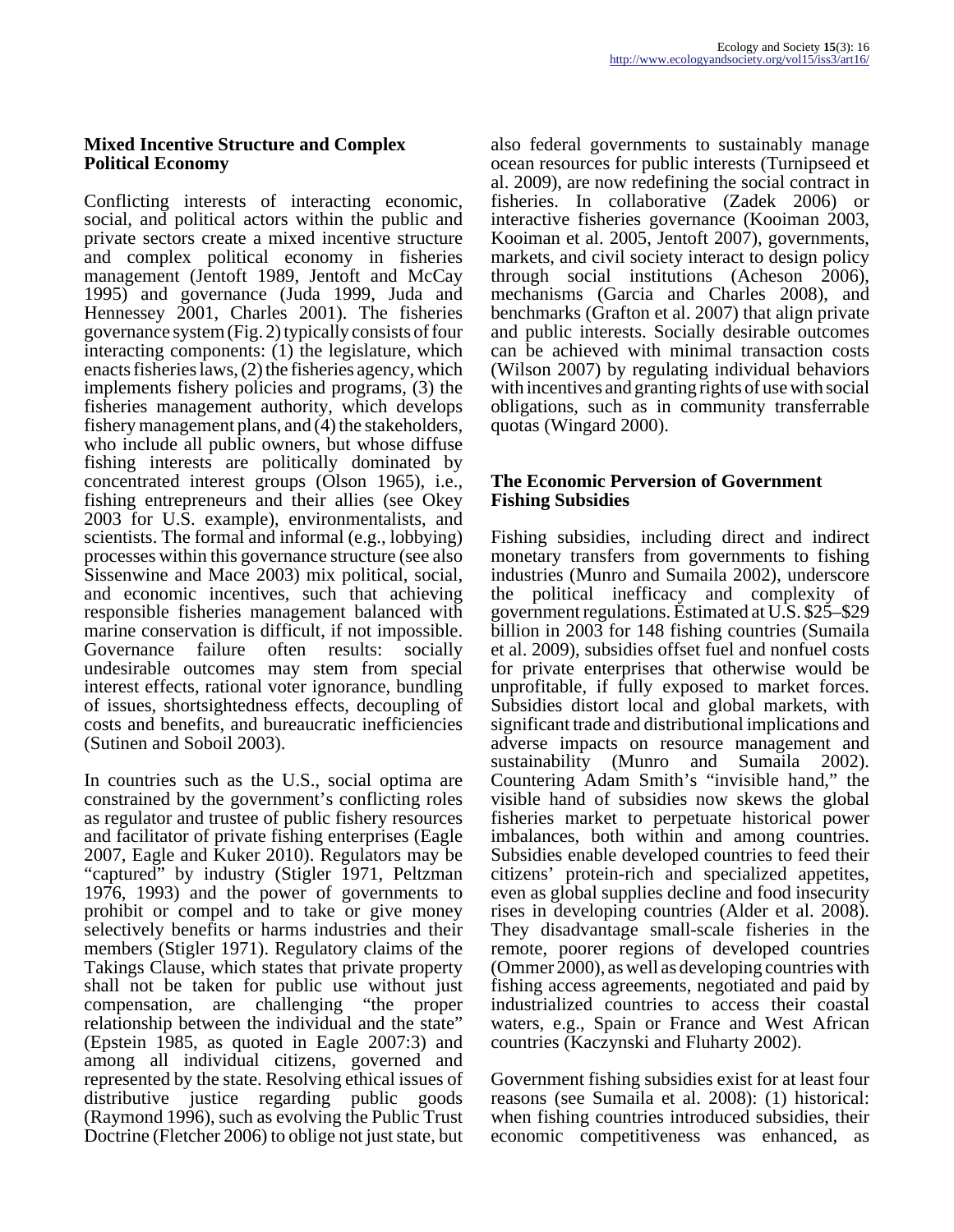## **Mixed Incentive Structure and Complex Political Economy**

Conflicting interests of interacting economic, social, and political actors within the public and private sectors create a mixed incentive structure and complex political economy in fisheries management (Jentoft 1989, Jentoft and McCay 1995) and governance (Juda 1999, Juda and Hennessey 2001, Charles 2001). The fisheries governance system (Fig. 2) typically consists of four interacting components: (1) the legislature, which enacts fisheries laws, (2) the fisheries agency, which implements fishery policies and programs, (3) the fisheries management authority, which develops fishery management plans, and (4) the stakeholders, who include all public owners, but whose diffuse fishing interests are politically dominated by concentrated interest groups (Olson 1965), i.e., fishing entrepreneurs and their allies (see Okey 2003 for U.S. example), environmentalists, and scientists. The formal and informal (e.g., lobbying) processes within this governance structure (see also Sissenwine and Mace 2003) mix political, social, and economic incentives, such that achieving responsible fisheries management balanced with marine conservation is difficult, if not impossible. Governance failure often results: socially undesirable outcomes may stem from special interest effects, rational voter ignorance, bundling of issues, shortsightedness effects, decoupling of costs and benefits, and bureaucratic inefficiencies (Sutinen and Soboil 2003).

In countries such as the U.S., social optima are constrained by the government's conflicting roles as regulator and trustee of public fishery resources and facilitator of private fishing enterprises (Eagle 2007, Eagle and Kuker 2010). Regulators may be "captured" by industry (Stigler 1971, Peltzman 1976, 1993) and the power of governments to prohibit or compel and to take or give money selectively benefits or harms industries and their members (Stigler 1971). Regulatory claims of the Takings Clause, which states that private property shall not be taken for public use without just compensation, are challenging "the proper relationship between the individual and the state" (Epstein 1985, as quoted in Eagle 2007:3) and among all individual citizens, governed and represented by the state. Resolving ethical issues of distributive justice regarding public goods (Raymond 1996), such as evolving the Public Trust Doctrine (Fletcher 2006) to oblige not just state, but

also federal governments to sustainably manage ocean resources for public interests (Turnipseed et al. 2009), are now redefining the social contract in fisheries. In collaborative (Zadek 2006) or interactive fisheries governance (Kooiman 2003, Kooiman et al. 2005, Jentoft 2007), governments, markets, and civil society interact to design policy through social institutions (Acheson 2006), mechanisms (Garcia and Charles 2008), and benchmarks (Grafton et al. 2007) that align private and public interests. Socially desirable outcomes can be achieved with minimal transaction costs (Wilson 2007) by regulating individual behaviors with incentives and granting rights of use with social obligations, such as in community transferrable quotas (Wingard 2000).

#### **The Economic Perversion of Government Fishing Subsidies**

Fishing subsidies, including direct and indirect monetary transfers from governments to fishing industries (Munro and Sumaila 2002), underscore the political inefficacy and complexity of government regulations. Estimated at U.S. \$25–\$29 billion in 2003 for 148 fishing countries (Sumaila et al. 2009), subsidies offset fuel and nonfuel costs for private enterprises that otherwise would be unprofitable, if fully exposed to market forces. Subsidies distort local and global markets, with significant trade and distributional implications and adverse impacts on resource management and sustainability (Munro and Sumaila 2002). Countering Adam Smith's "invisible hand," the visible hand of subsidies now skews the global fisheries market to perpetuate historical power imbalances, both within and among countries. Subsidies enable developed countries to feed their citizens' protein-rich and specialized appetites, even as global supplies decline and food insecurity rises in developing countries (Alder et al. 2008). They disadvantage small-scale fisheries in the remote, poorer regions of developed countries (Ommer 2000), as well as developing countries with fishing access agreements, negotiated and paid by industrialized countries to access their coastal waters, e.g., Spain or France and West African countries (Kaczynski and Fluharty 2002).

Government fishing subsidies exist for at least four reasons (see Sumaila et al. 2008): (1) historical: when fishing countries introduced subsidies, their economic competitiveness was enhanced, as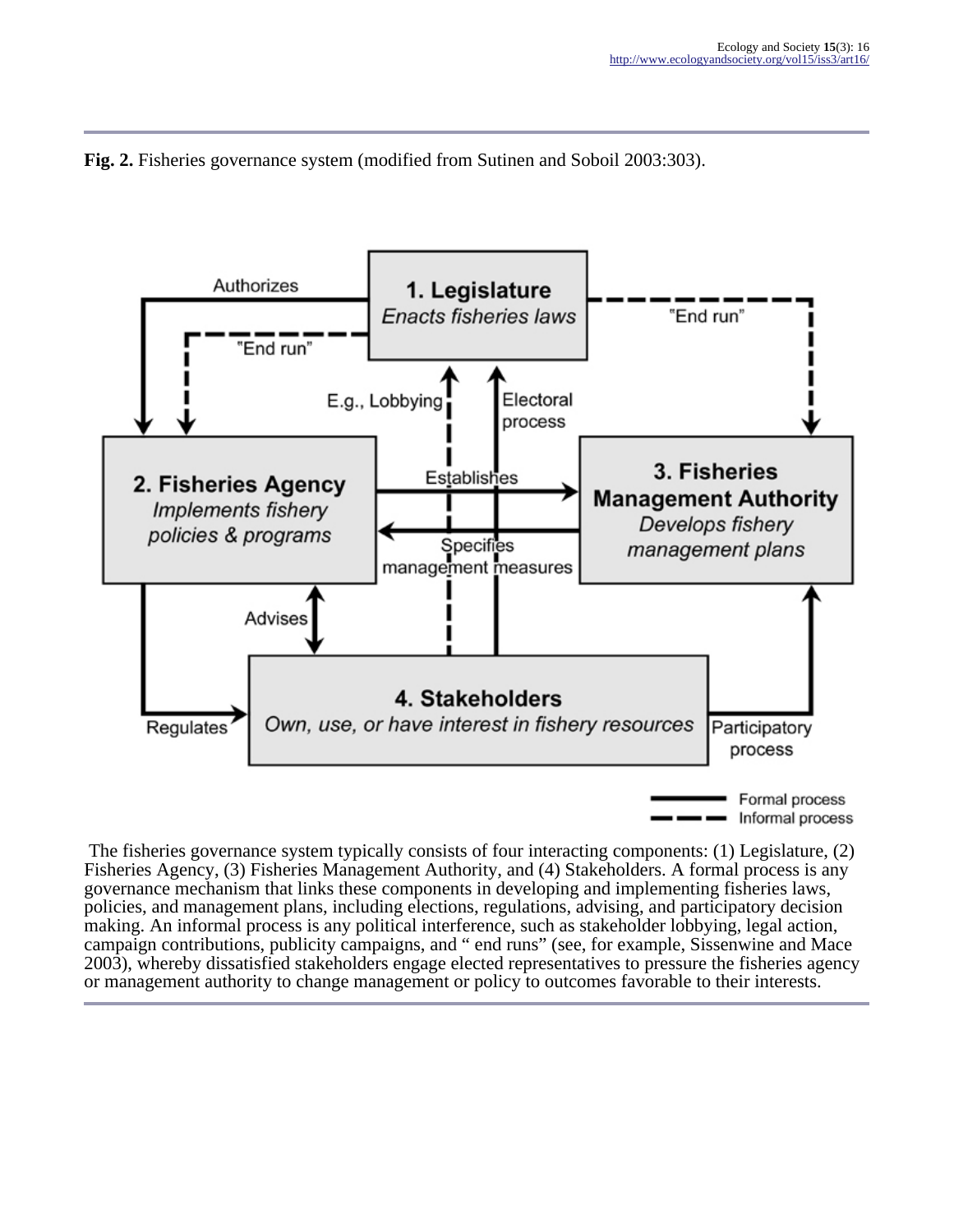



 The fisheries governance system typically consists of four interacting components: (1) Legislature, (2) Fisheries Agency, (3) Fisheries Management Authority, and (4) Stakeholders. A formal process is any governance mechanism that links these components in developing and implementing fisheries laws, policies, and management plans, including elections, regulations, advising, and participatory decision making. An informal process is any political interference, such as stakeholder lobbying, legal action, campaign contributions, publicity campaigns, and " end runs" (see, for example, Sissenwine and Mace 2003), whereby dissatisfied stakeholders engage elected representatives to pressure the fisheries agency or management authority to change management or policy to outcomes favorable to their interests.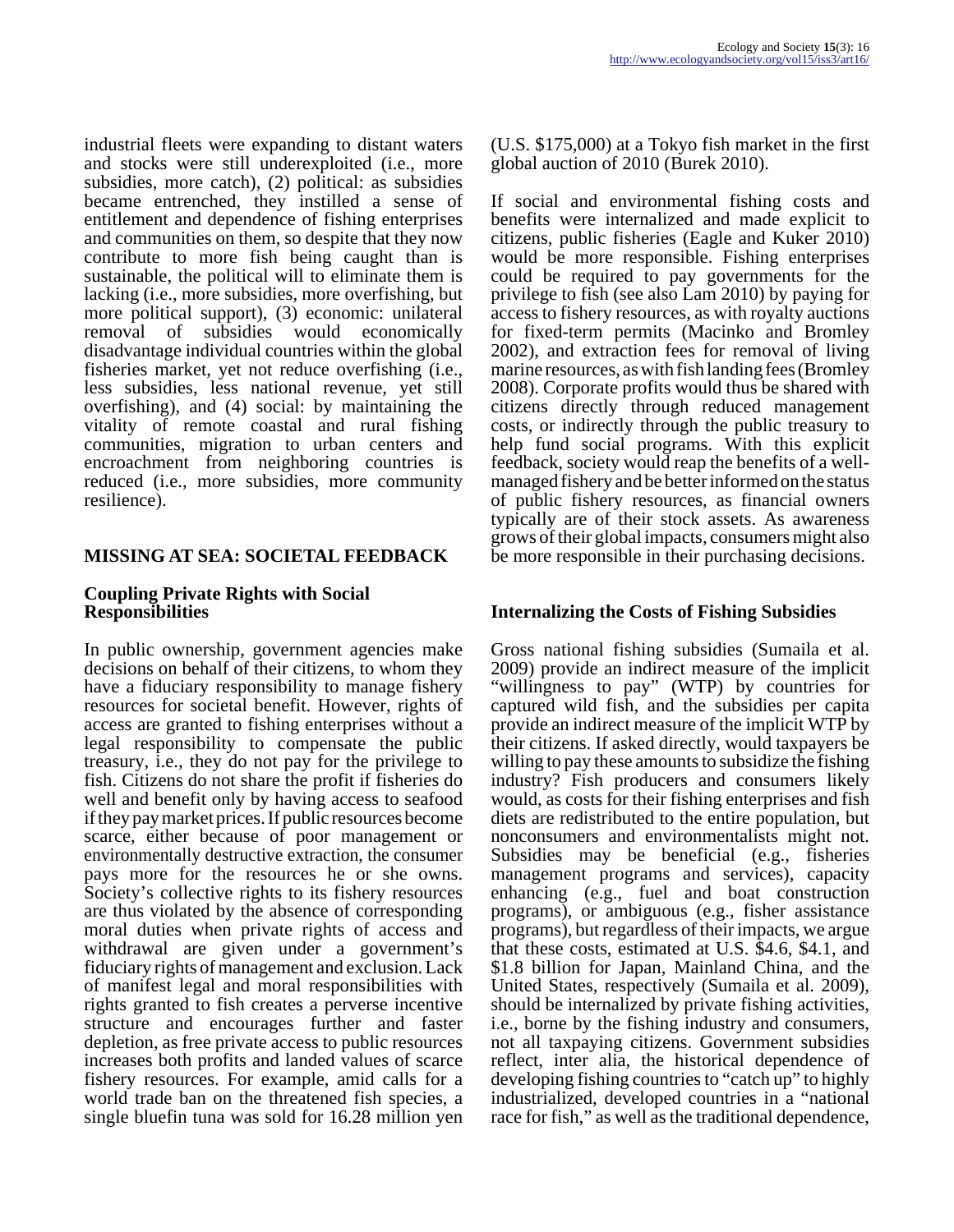industrial fleets were expanding to distant waters and stocks were still underexploited (i.e., more subsidies, more catch), (2) political: as subsidies became entrenched, they instilled a sense of entitlement and dependence of fishing enterprises and communities on them, so despite that they now contribute to more fish being caught than is sustainable, the political will to eliminate them is lacking (i.e., more subsidies, more overfishing, but more political support), (3) economic: unilateral removal of subsidies would economically disadvantage individual countries within the global fisheries market, yet not reduce overfishing (i.e., less subsidies, less national revenue, yet still overfishing), and (4) social: by maintaining the vitality of remote coastal and rural fishing communities, migration to urban centers and encroachment from neighboring countries is reduced (i.e., more subsidies, more community resilience).

## **MISSING AT SEA: SOCIETAL FEEDBACK**

## **Coupling Private Rights with Social Responsibilities**

In public ownership, government agencies make decisions on behalf of their citizens, to whom they have a fiduciary responsibility to manage fishery resources for societal benefit. However, rights of access are granted to fishing enterprises without a legal responsibility to compensate the public treasury, i.e., they do not pay for the privilege to fish. Citizens do not share the profit if fisheries do well and benefit only by having access to seafood if they pay market prices. If public resources become scarce, either because of poor management or environmentally destructive extraction, the consumer pays more for the resources he or she owns. Society's collective rights to its fishery resources are thus violated by the absence of corresponding moral duties when private rights of access and withdrawal are given under a government's fiduciary rights of management and exclusion. Lack of manifest legal and moral responsibilities with rights granted to fish creates a perverse incentive structure and encourages further and faster depletion, as free private access to public resources increases both profits and landed values of scarce fishery resources. For example, amid calls for a world trade ban on the threatened fish species, a single bluefin tuna was sold for 16.28 million yen

(U.S. \$175,000) at a Tokyo fish market in the first global auction of 2010 (Burek 2010).

If social and environmental fishing costs and benefits were internalized and made explicit to citizens, public fisheries (Eagle and Kuker 2010) would be more responsible. Fishing enterprises could be required to pay governments for the privilege to fish (see also Lam 2010) by paying for access to fishery resources, as with royalty auctions for fixed-term permits (Macinko and Bromley 2002), and extraction fees for removal of living marine resources, as with fish landing fees (Bromley 2008). Corporate profits would thus be shared with citizens directly through reduced management costs, or indirectly through the public treasury to help fund social programs. With this explicit feedback, society would reap the benefits of a wellmanaged fishery and be better informed on the status of public fishery resources, as financial owners typically are of their stock assets. As awareness grows of their global impacts, consumers might also be more responsible in their purchasing decisions.

## **Internalizing the Costs of Fishing Subsidies**

Gross national fishing subsidies (Sumaila et al. 2009) provide an indirect measure of the implicit "willingness to pay" (WTP) by countries for captured wild fish, and the subsidies per capita provide an indirect measure of the implicit WTP by their citizens. If asked directly, would taxpayers be willing to pay these amounts to subsidize the fishing industry? Fish producers and consumers likely would, as costs for their fishing enterprises and fish diets are redistributed to the entire population, but nonconsumers and environmentalists might not. Subsidies may be beneficial (e.g., fisheries management programs and services), capacity enhancing (e.g., fuel and boat construction programs), or ambiguous (e.g., fisher assistance programs), but regardless of their impacts, we argue that these costs, estimated at U.S. \$4.6, \$4.1, and \$1.8 billion for Japan, Mainland China, and the United States, respectively (Sumaila et al. 2009), should be internalized by private fishing activities, i.e., borne by the fishing industry and consumers, not all taxpaying citizens. Government subsidies reflect, inter alia, the historical dependence of developing fishing countries to "catch up" to highly industrialized, developed countries in a "national race for fish," as well as the traditional dependence,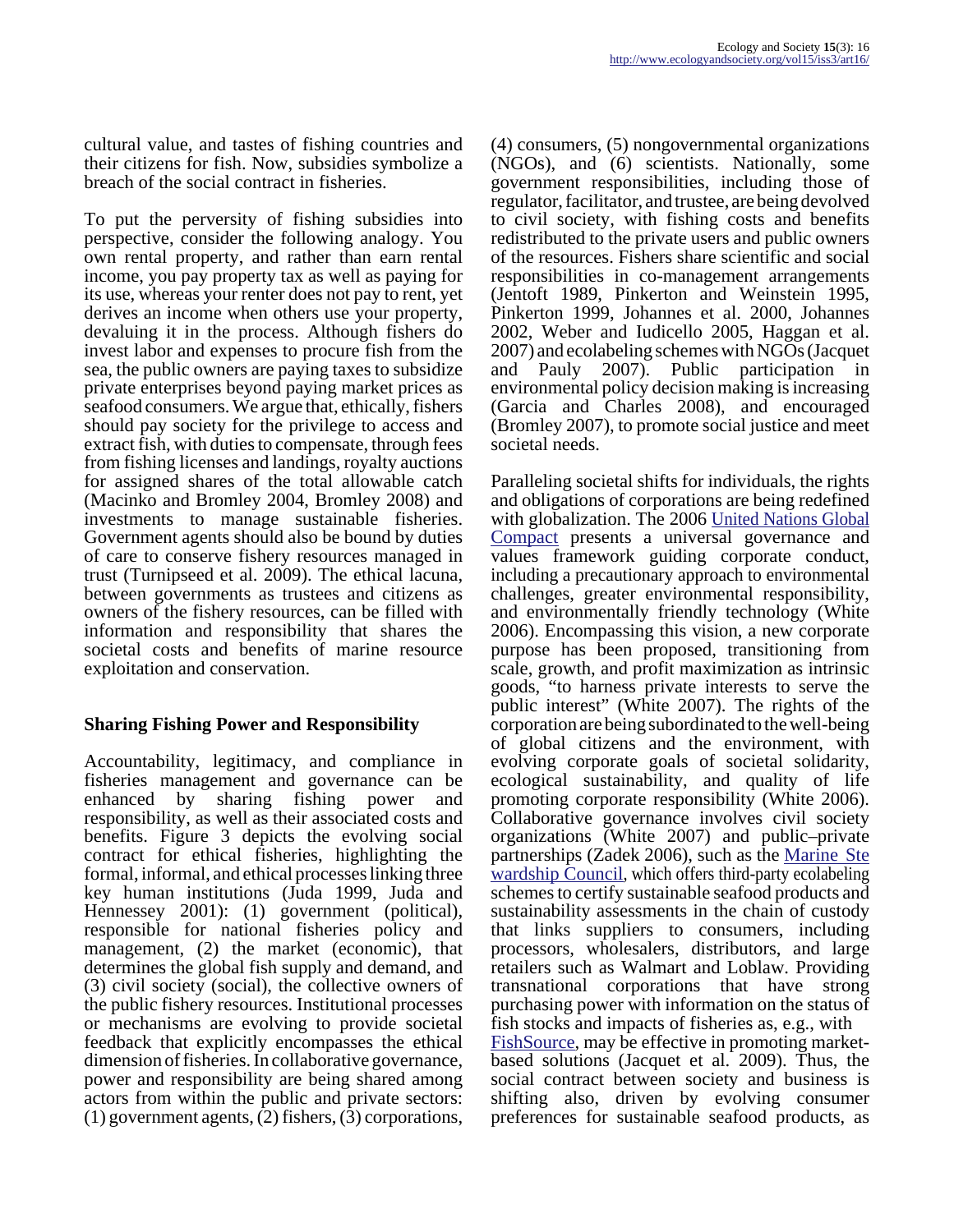cultural value, and tastes of fishing countries and their citizens for fish. Now, subsidies symbolize a breach of the social contract in fisheries.

To put the perversity of fishing subsidies into perspective, consider the following analogy. You own rental property, and rather than earn rental income, you pay property tax as well as paying for its use, whereas your renter does not pay to rent, yet derives an income when others use your property, devaluing it in the process. Although fishers do invest labor and expenses to procure fish from the sea, the public owners are paying taxes to subsidize private enterprises beyond paying market prices as seafood consumers. We argue that, ethically, fishers should pay society for the privilege to access and extract fish, with duties to compensate, through fees from fishing licenses and landings, royalty auctions for assigned shares of the total allowable catch (Macinko and Bromley 2004, Bromley 2008) and investments to manage sustainable fisheries. Government agents should also be bound by duties of care to conserve fishery resources managed in trust (Turnipseed et al. 2009). The ethical lacuna, between governments as trustees and citizens as owners of the fishery resources, can be filled with information and responsibility that shares the societal costs and benefits of marine resource exploitation and conservation.

## **Sharing Fishing Power and Responsibility**

Accountability, legitimacy, and compliance in fisheries management and governance can be enhanced by sharing fishing power and responsibility, as well as their associated costs and benefits. Figure 3 depicts the evolving social contract for ethical fisheries, highlighting the formal, informal, and ethical processes linking three key human institutions (Juda 1999, Juda and Hennessey 2001): (1) government (political), responsible for national fisheries policy and management, (2) the market (economic), that determines the global fish supply and demand, and (3) civil society (social), the collective owners of the public fishery resources. Institutional processes or mechanisms are evolving to provide societal feedback that explicitly encompasses the ethical dimension of fisheries. In collaborative governance, power and responsibility are being shared among actors from within the public and private sectors: (1) government agents, (2) fishers, (3) corporations,

(4) consumers, (5) nongovernmental organizations (NGOs), and (6) scientists. Nationally, some government responsibilities, including those of regulator, facilitator, and trustee, are being devolved to civil society, with fishing costs and benefits redistributed to the private users and public owners of the resources. Fishers share scientific and social responsibilities in co-management arrangements (Jentoft 1989, Pinkerton and Weinstein 1995, Pinkerton 1999, Johannes et al. 2000, Johannes 2002, Weber and Iudicello 2005, Haggan et al. 2007) and ecolabeling schemes with NGOs (Jacquet and Pauly 2007). Public participation in environmental policy decision making is increasing (Garcia and Charles 2008), and encouraged (Bromley 2007), to promote social justice and meet societal needs.

Paralleling societal shifts for individuals, the rights and obligations of corporations are being redefined with globalization. The 2006 [United Nations Global](http://www.unglobalcompact.org) [Compact](http://www.unglobalcompact.org) presents a universal governance and values framework guiding corporate conduct, including a precautionary approach to environmental challenges, greater environmental responsibility, and environmentally friendly technology (White 2006). Encompassing this vision, a new corporate purpose has been proposed, transitioning from scale, growth, and profit maximization as intrinsic goods, "to harness private interests to serve the public interest" (White 2007). The rights of the corporation are being subordinated to the well-being of global citizens and the environment, with evolving corporate goals of societal solidarity, ecological sustainability, and quality of life promoting corporate responsibility (White 2006). Collaborative governance involves civil society organizations (White 2007) and public–private partnerships (Zadek 2006), such as the [Marine Ste](http://www.msc.org) [wardship Council,](http://www.msc.org) which offers third-party ecolabeling schemes to certify sustainable seafood products and sustainability assessments in the chain of custody that links suppliers to consumers, including processors, wholesalers, distributors, and large retailers such as Walmart and Loblaw. Providing transnational corporations that have strong purchasing power with information on the status of fish stocks and impacts of fisheries as, e.g., with [FishSource](http://www.fishsource.org), may be effective in promoting marketbased solutions (Jacquet et al. 2009). Thus, the social contract between society and business is shifting also, driven by evolving consumer

preferences for sustainable seafood products, as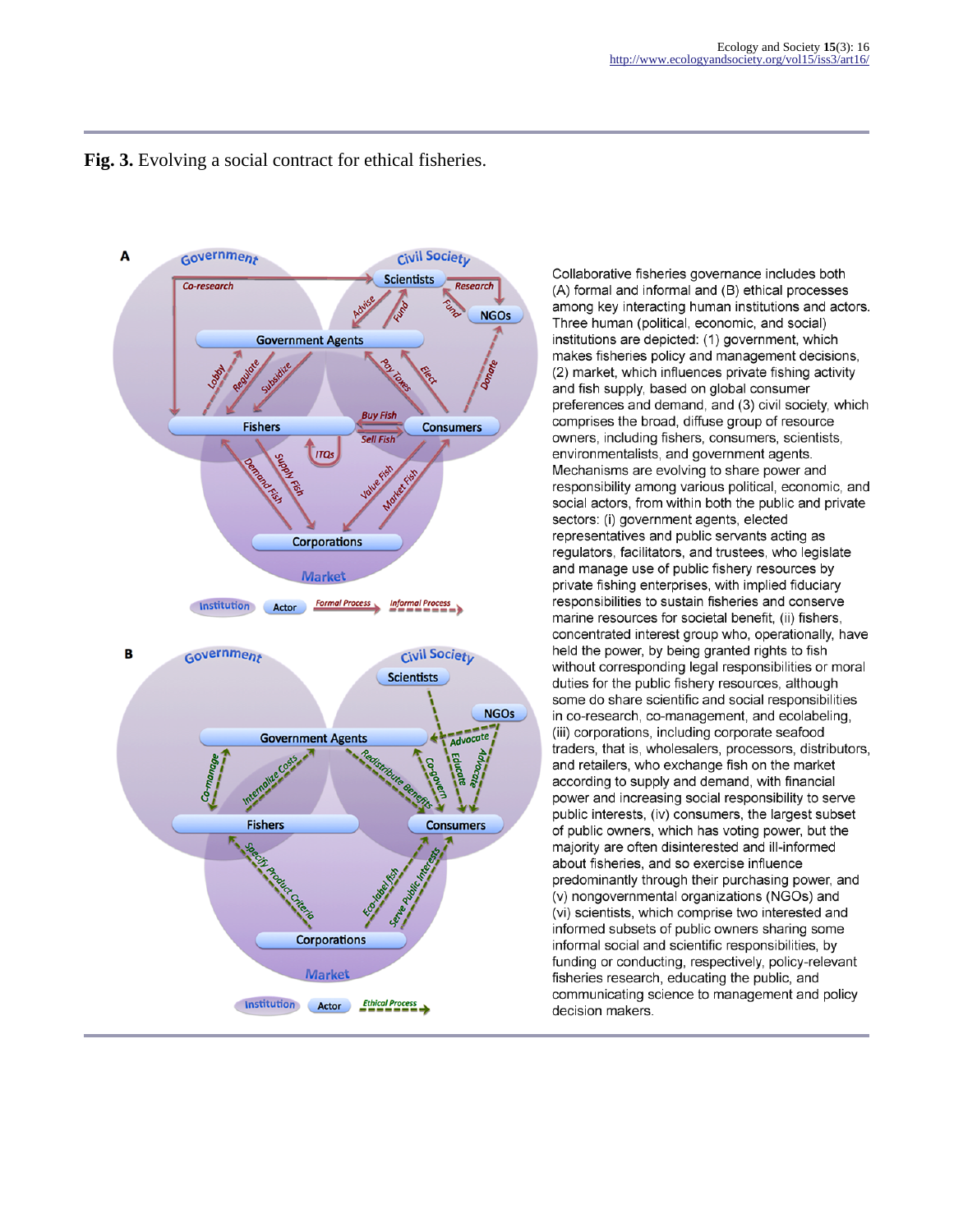

#### **Fig. 3.** Evolving a social contract for ethical fisheries.

Collaborative fisheries governance includes both (A) formal and informal and (B) ethical processes among key interacting human institutions and actors. Three human (political, economic, and social) institutions are depicted: (1) government, which makes fisheries policy and management decisions, (2) market, which influences private fishing activity and fish supply, based on global consumer preferences and demand, and (3) civil society, which comprises the broad, diffuse group of resource owners, including fishers, consumers, scientists, environmentalists, and government agents. Mechanisms are evolving to share power and responsibility among various political, economic, and social actors, from within both the public and private sectors: (i) government agents, elected representatives and public servants acting as regulators, facilitators, and trustees, who legislate and manage use of public fishery resources by private fishing enterprises, with implied fiduciary responsibilities to sustain fisheries and conserve marine resources for societal benefit. (ii) fishers. concentrated interest group who, operationally, have held the power, by being granted rights to fish without corresponding legal responsibilities or moral duties for the public fishery resources, although some do share scientific and social responsibilities in co-research, co-management, and ecolabeling, (iii) corporations, including corporate seafood traders, that is, wholesalers, processors, distributors, and retailers, who exchange fish on the market according to supply and demand, with financial power and increasing social responsibility to serve public interests. (iv) consumers, the largest subset of public owners, which has voting power, but the majority are often disinterested and ill-informed about fisheries, and so exercise influence predominantly through their purchasing power, and (v) nongovernmental organizations (NGOs) and (vi) scientists, which comprise two interested and informed subsets of public owners sharing some informal social and scientific responsibilities, by funding or conducting, respectively, policy-relevant fisheries research, educating the public, and communicating science to management and policy decision makers.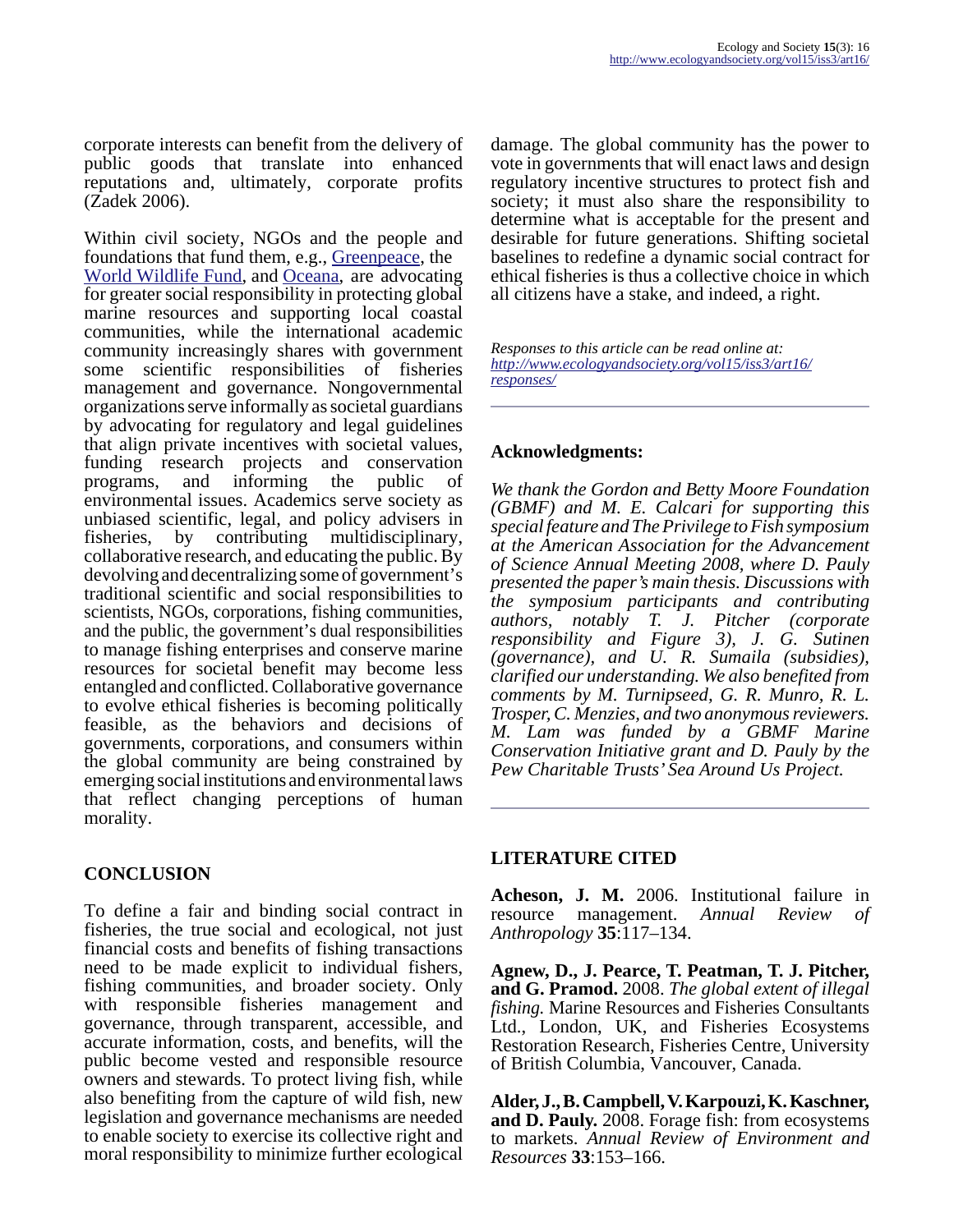corporate interests can benefit from the delivery of public goods that translate into enhanced reputations and, ultimately, corporate profits (Zadek 2006).

Within civil society, NGOs and the people and foundations that fund them, e.g., [Greenpeace,](http://www.greenpeace.org/international/) the [World Wildlife Fund](http://www.worldwildlife.org/), and [Oceana,](http://www.oceana.org/) are advocating for greater social responsibility in protecting global marine resources and supporting local coastal communities, while the international academic community increasingly shares with government some scientific responsibilities of fisheries management and governance. Nongovernmental organizations serve informally as societal guardians by advocating for regulatory and legal guidelines that align private incentives with societal values, funding research projects and conservation programs, and informing the public of environmental issues. Academics serve society as unbiased scientific, legal, and policy advisers in fisheries, by contributing multidisciplinary, collaborative research, and educating the public. By devolving and decentralizing some of government's traditional scientific and social responsibilities to scientists, NGOs, corporations, fishing communities, and the public, the government's dual responsibilities to manage fishing enterprises and conserve marine resources for societal benefit may become less entangled and conflicted. Collaborative governance to evolve ethical fisheries is becoming politically feasible, as the behaviors and decisions of governments, corporations, and consumers within the global community are being constrained by emerging social institutions and environmental laws that reflect changing perceptions of human morality.

## **CONCLUSION**

To define a fair and binding social contract in fisheries, the true social and ecological, not just financial costs and benefits of fishing transactions need to be made explicit to individual fishers, fishing communities, and broader society. Only with responsible fisheries management and governance, through transparent, accessible, and accurate information, costs, and benefits, will the public become vested and responsible resource owners and stewards. To protect living fish, while also benefiting from the capture of wild fish, new legislation and governance mechanisms are needed to enable society to exercise its collective right and moral responsibility to minimize further ecological

damage. The global community has the power to vote in governments that will enact laws and design regulatory incentive structures to protect fish and society; it must also share the responsibility to determine what is acceptable for the present and desirable for future generations. Shifting societal baselines to redefine a dynamic social contract for ethical fisheries is thus a collective choice in which all citizens have a stake, and indeed, a right.

*Responses to this article can be read online at: [http://www](http://www.ecologyandsociety.org/vol15/iss3/art16/responses/).ecologyandsociety.org/vol15/iss3/art16/ responses/*

## **Acknowledgments:**

*We thank the Gordon and Betty Moore Foundation (GBMF) and M. E. Calcari for supporting this special feature and The Privilege to Fish symposium at the American Association for the Advancement of Science Annual Meeting 2008, where D. Pauly presented the paper's main thesis. Discussions with the symposium participants and contributing authors, notably T. J. Pitcher (corporate responsibility and Figure 3), J. G. Sutinen (governance), and U. R. Sumaila (subsidies), clarified our understanding. We also benefited from comments by M. Turnipseed, G. R. Munro, R. L. Trosper, C. Menzies, and two anonymous reviewers. M. Lam was funded by a GBMF Marine Conservation Initiative grant and D. Pauly by the Pew Charitable Trusts' Sea Around Us Project.*

## **LITERATURE CITED**

**Acheson, J. M.** 2006. Institutional failure in resource management. *Annual Review of Anthropology* **35**:117–134.

**Agnew, D., J. Pearce, T. Peatman, T. J. Pitcher, and G. Pramod.** 2008. *The global extent of illegal fishing.* Marine Resources and Fisheries Consultants Ltd., London, UK, and Fisheries Ecosystems Restoration Research, Fisheries Centre, University of British Columbia, Vancouver, Canada.

**Alder, J., B. Campbell, V. Karpouzi, K. Kaschner, and D. Pauly.** 2008. Forage fish: from ecosystems to markets. *Annual Review of Environment and Resources* **33**:153–166.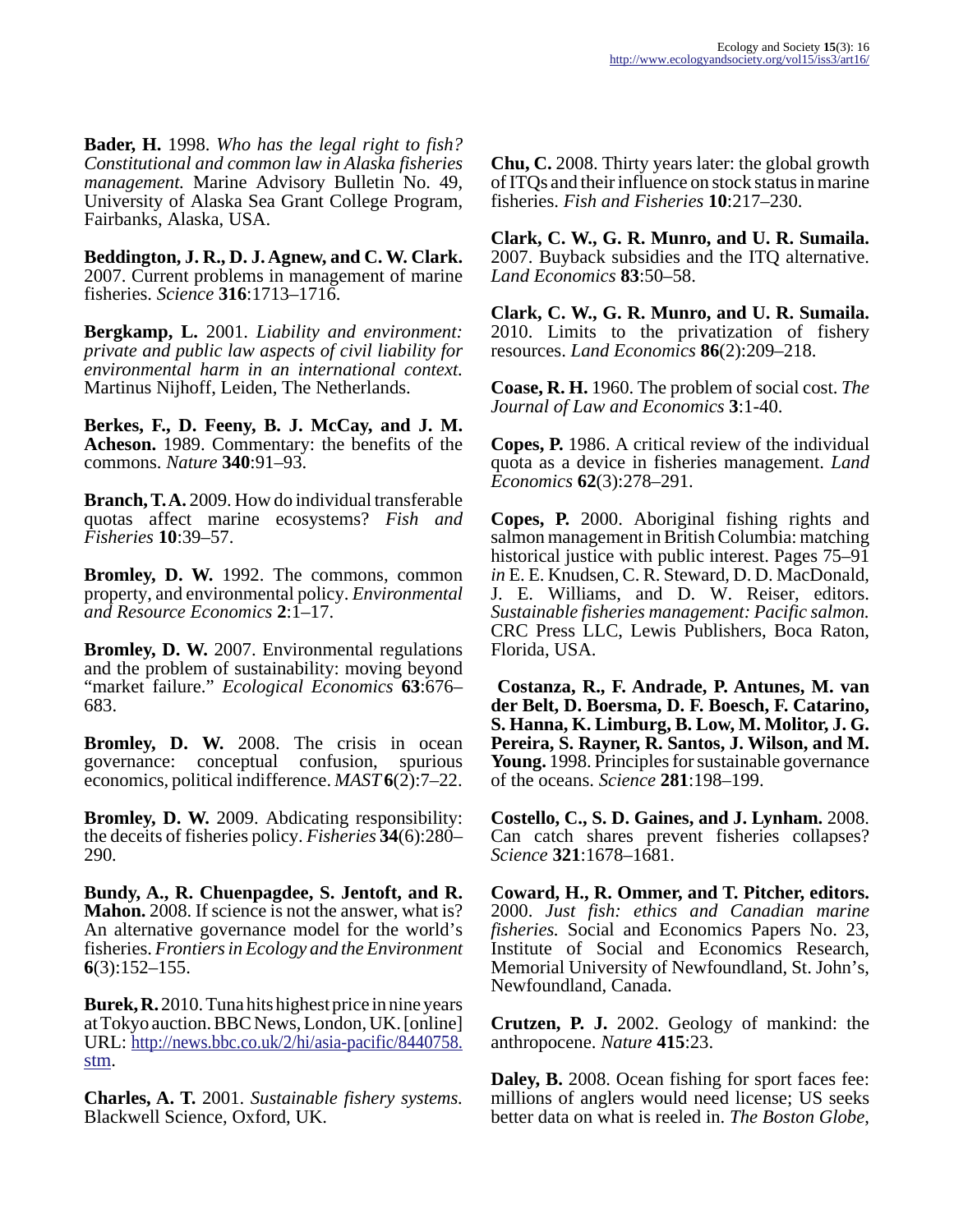**Bader, H.** 1998. *Who has the legal right to fish? Constitutional and common law in Alaska fisheries management.* Marine Advisory Bulletin No. 49, University of Alaska Sea Grant College Program, Fairbanks, Alaska, USA.

**Beddington, J. R., D. J. Agnew, and C. W. Clark.** 2007. Current problems in management of marine fisheries. *Science* **316**:1713–1716.

**Bergkamp, L.** 2001. *Liability and environment: private and public law aspects of civil liability for environmental harm in an international context.* Martinus Nijhoff, Leiden, The Netherlands.

**Berkes, F., D. Feeny, B. J. McCay, and J. M. Acheson.** 1989. Commentary: the benefits of the commons. *Nature* **340**:91–93.

**Branch, T. A.** 2009. How do individual transferable quotas affect marine ecosystems? *Fish and Fisheries* **10**:39–57.

**Bromley, D. W.** 1992. The commons, common property, and environmental policy. *Environmental and Resource Economics* **2**:1–17.

**Bromley, D. W.** 2007. Environmental regulations and the problem of sustainability: moving beyond "market failure." *Ecological Economics* **63**:676– 683.

**Bromley, D. W.** 2008. The crisis in ocean governance: conceptual confusion, spurious economics, political indifference. *MAST* **6**(2):7–22.

**Bromley, D. W.** 2009. Abdicating responsibility: the deceits of fisheries policy. *Fisheries* **34**(6):280– 290*.*

**Bundy, A., R. Chuenpagdee, S. Jentoft, and R. Mahon.** 2008. If science is not the answer, what is? An alternative governance model for the world's fisheries. *Frontiers in Ecology and the Environment* **6**(3):152–155.

**Burek, R.** 2010. Tuna hits highest price in nine years at Tokyo auction. BBC News, London, UK. [online] URL: [http://news.bbc.co.uk/2/hi/asia-pacific/8440758.](http://news.bbc.co.uk/2/hi/asia-pacific/8440758.stm) [stm](http://news.bbc.co.uk/2/hi/asia-pacific/8440758.stm).

**Charles, A. T.** 2001. *Sustainable fishery systems.* Blackwell Science, Oxford, UK.

**Chu, C.** 2008. Thirty years later: the global growth of ITQs and their influence on stock status in marine fisheries. *Fish and Fisheries* **10**:217–230.

**Clark, C. W., G. R. Munro, and U. R. Sumaila.** 2007. Buyback subsidies and the ITQ alternative. *Land Economics* **83**:50–58.

**Clark, C. W., G. R. Munro, and U. R. Sumaila.** 2010. Limits to the privatization of fishery resources. *Land Economics* **86**(2):209–218.

**Coase, R. H.** 1960. The problem of social cost. *The Journal of Law and Economics* **3**:1-40.

**Copes, P.** 1986. A critical review of the individual quota as a device in fisheries management. *Land Economics* **62**(3):278–291.

**Copes, P.** 2000. Aboriginal fishing rights and salmon management in British Columbia: matching historical justice with public interest. Pages 75–91 *in* E. E. Knudsen, C. R. Steward, D. D. MacDonald, J. E. Williams, and D. W. Reiser, editors. *Sustainable fisheries management: Pacific salmon.* CRC Press LLC, Lewis Publishers, Boca Raton, Florida, USA.

 **Costanza, R., F. Andrade, P. Antunes, M. van der Belt, D. Boersma, D. F. Boesch, F. Catarino, S. Hanna, K. Limburg, B. Low, M. Molitor, J. G. Pereira, S. Rayner, R. Santos, J. Wilson, and M. Young.** 1998. Principles for sustainable governance of the oceans. *Science* **281**:198–199.

**Costello, C., S. D. Gaines, and J. Lynham.** 2008. Can catch shares prevent fisheries collapses? *Science* **321**:1678–1681.

**Coward, H., R. Ommer, and T. Pitcher, editors.** 2000. *Just fish: ethics and Canadian marine fisheries.* Social and Economics Papers No. 23, Institute of Social and Economics Research, Memorial University of Newfoundland, St. John's, Newfoundland, Canada.

**Crutzen, P. J.** 2002. Geology of mankind: the anthropocene. *Nature* **415**:23.

**Daley, B.** 2008. Ocean fishing for sport faces fee: millions of anglers would need license; US seeks better data on what is reeled in. *The Boston Globe*,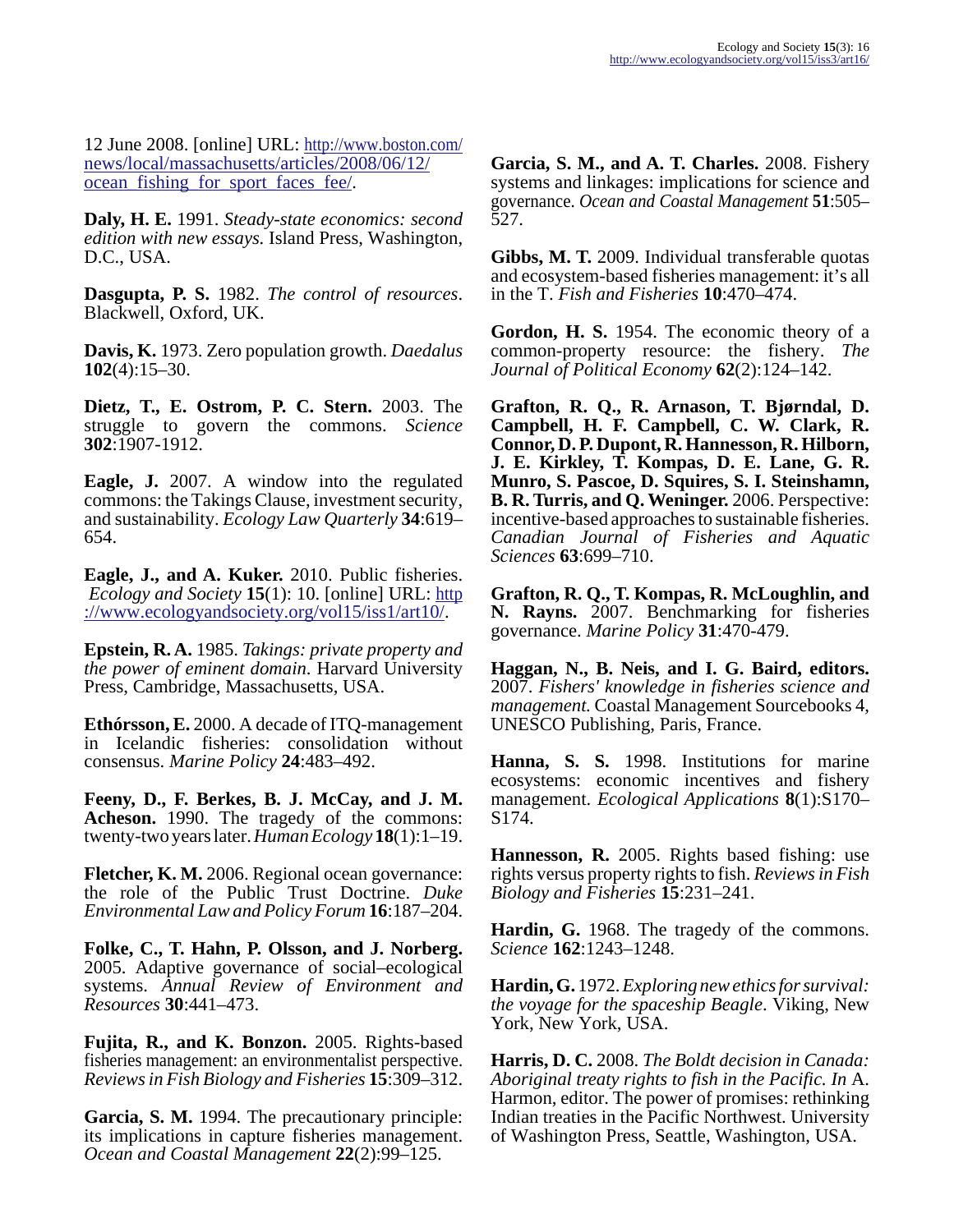12 June 2008. [online] URL: [http://www.boston.com/](http://www.boston.com/news/local/massachusetts/articles/2008/06/12/ocean_fishing_for_sport_faces_fee/) [news/local/massachusetts/articles/2008/06/12/](http://www.boston.com/news/local/massachusetts/articles/2008/06/12/ocean_fishing_for_sport_faces_fee/) [ocean\\_fishing\\_for\\_sport\\_faces\\_fee/.](http://www.boston.com/news/local/massachusetts/articles/2008/06/12/ocean_fishing_for_sport_faces_fee/)

**Daly, H. E.** 1991. *Steady-state economics: second edition with new essays.* Island Press, Washington, D.C., USA.

**Dasgupta, P. S.** 1982. *The control of resources*. Blackwell, Oxford, UK.

**Davis, K.** 1973. Zero population growth. *Daedalus* **102**(4):15–30.

**Dietz, T., E. Ostrom, P. C. Stern.** 2003. The struggle to govern the commons. *Science* **302**:1907-1912.

**Eagle, J.** 2007. A window into the regulated commons: the Takings Clause, investment security, and sustainability. *Ecology Law Quarterly* **34**:619– 654.

**Eagle, J., and A. Kuker.** 2010. Public fisheries.  *Ecology and Society* **15**(1): 10. [online] URL: [http](http://www.ecologyandsociety.org/vol15/iss1/art10/) [://www.ecologyandsociety.org/vol15/iss1/art10/](http://www.ecologyandsociety.org/vol15/iss1/art10/).

**Epstein, R. A.** 1985. *Takings: private property and the power of eminent domain*. Harvard University Press, Cambridge, Massachusetts, USA.

**Ethórsson, E.** 2000. A decade of ITQ-management in Icelandic fisheries: consolidation without consensus. *Marine Policy* **24**:483–492.

**Feeny, D., F. Berkes, B. J. McCay, and J. M. Acheson.** 1990. The tragedy of the commons: twenty-two years later. *Human Ecology* **18**(1):1–19.

**Fletcher, K. M.** 2006. Regional ocean governance: the role of the Public Trust Doctrine. *Duke Environmental Law and Policy Forum* **16**:187–204.

**Folke, C., T. Hahn, P. Olsson, and J. Norberg.** 2005. Adaptive governance of social–ecological systems. *Annual Review of Environment and Resources* **30**:441–473.

**Fujita, R., and K. Bonzon.** 2005. Rights-based fisheries management: an environmentalist perspective. *Reviews in Fish Biology and Fisheries* **15**:309–312.

**Garcia, S. M.** 1994. The precautionary principle: its implications in capture fisheries management. *Ocean and Coastal Management* **22**(2):99–125.

**Garcia, S. M., and A. T. Charles.** 2008. Fishery systems and linkages: implications for science and governance. *Ocean and Coastal Management* **51**:505– 527.

**Gibbs, M. T.** 2009. Individual transferable quotas and ecosystem-based fisheries management: it's all in the T. *Fish and Fisheries* **10**:470–474.

**Gordon, H. S.** 1954. The economic theory of a common-property resource: the fishery. *The Journal of Political Economy* **62**(2):124–142.

**Grafton, R. Q., R. Arnason, T. Bjørndal, D. Campbell, H. F. Campbell, C. W. Clark, R. Connor, D. P. Dupont, R. Hannesson, R. Hilborn, J. E. Kirkley, T. Kompas, D. E. Lane, G. R. Munro, S. Pascoe, D. Squires, S. I. Steinshamn, B. R. Turris, and Q. Weninger.** 2006. Perspective: incentive-based approaches to sustainable fisheries. *Canadian Journal of Fisheries and Aquatic Sciences* **63**:699–710.

**Grafton, R. Q., T. Kompas, R. McLoughlin, and N. Rayns.** 2007. Benchmarking for fisheries governance. *Marine Policy* **31**:470-479.

**Haggan, N., B. Neis, and I. G. Baird, editors.** 2007. *Fishers' knowledge in fisheries science and management.* Coastal Management Sourcebooks 4, UNESCO Publishing, Paris, France.

**Hanna, S. S.** 1998. Institutions for marine ecosystems: economic incentives and fishery management. *Ecological Applications* **8**(1):S170– S174.

**Hannesson, R.** 2005. Rights based fishing: use rights versus property rights to fish. *Reviews in Fish Biology and Fisheries* **15**:231–241.

**Hardin, G.** 1968. The tragedy of the commons. *Science* **162**:1243–1248.

**Hardin, G.** 1972. *Exploring new ethics for survival: the voyage for the spaceship Beagle*. Viking, New York, New York, USA.

**Harris, D. C.** 2008. *The Boldt decision in Canada: Aboriginal treaty rights to fish in the Pacific. In* A. Harmon, editor. The power of promises: rethinking Indian treaties in the Pacific Northwest. University of Washington Press, Seattle, Washington, USA.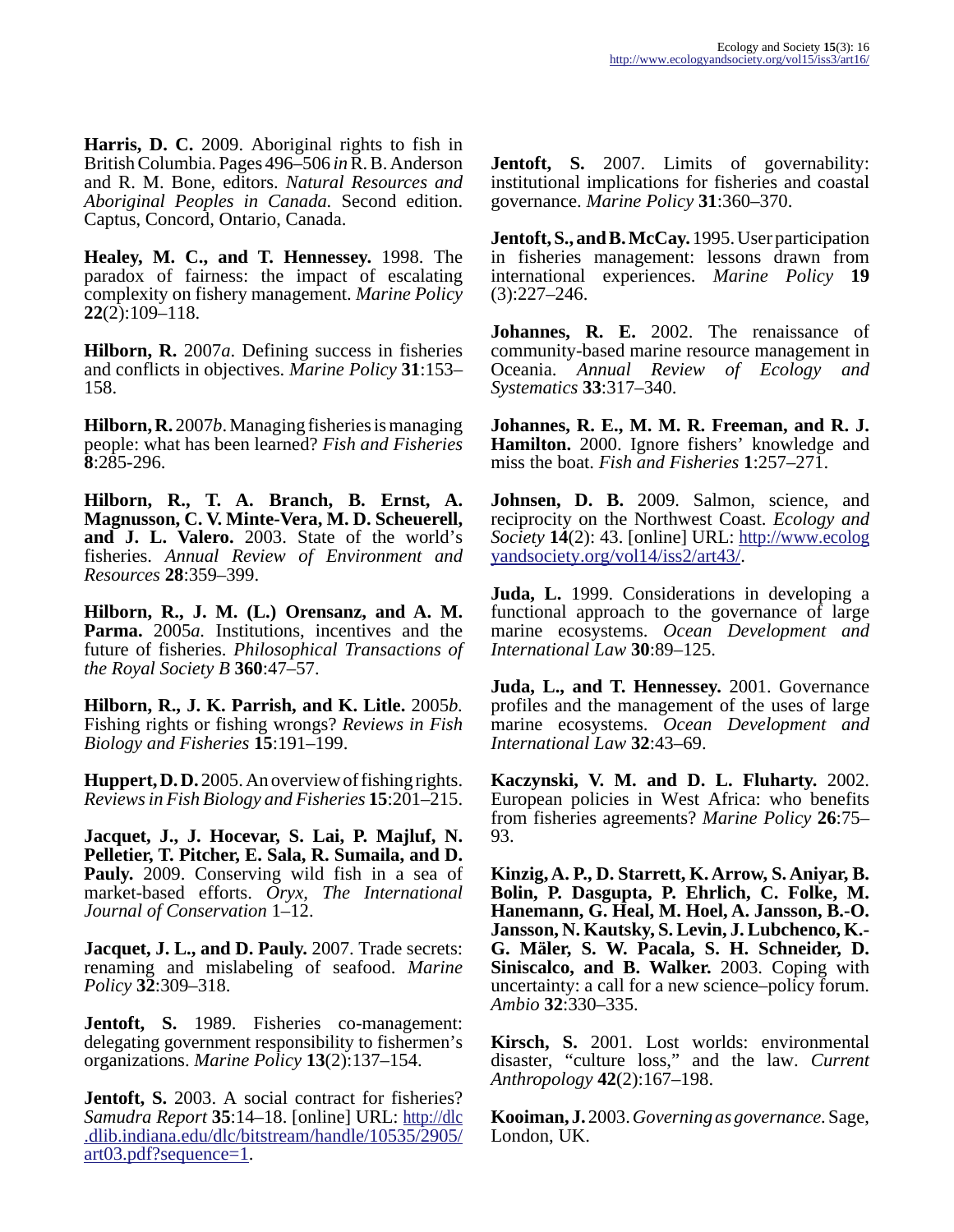**Harris, D. C.** 2009. Aboriginal rights to fish in British Columbia. Pages 496–506 *in* R. B. Anderson and R. M. Bone, editors. *Natural Resources and Aboriginal Peoples in Canada.* Second edition. Captus, Concord, Ontario, Canada.

**Healey, M. C., and T. Hennessey.** 1998. The paradox of fairness: the impact of escalating complexity on fishery management. *Marine Policy* **22**(2):109–118.

**Hilborn, R.** 2007*a*. Defining success in fisheries and conflicts in objectives. *Marine Policy* **31**:153– 158.

**Hilborn, R.** 2007*b*. Managing fisheries is managing people: what has been learned? *Fish and Fisheries* **8**:285-296.

**Hilborn, R., T. A. Branch, B. Ernst, A. Magnusson, C. V. Minte-Vera, M. D. Scheuerell, and J. L. Valero.** 2003. State of the world's fisheries. *Annual Review of Environment and Resources* **28**:359–399.

**Hilborn, R., J. M. (L.) Orensanz, and A. M.** Parma. 2005*a*. Institutions, incentives and the future of fisheries. *Philosophical Transactions of the Royal Society B* **360**:47–57.

**Hilborn, R., J. K. Parrish, and K. Litle.** 2005*b.* Fishing rights or fishing wrongs? *Reviews in Fish Biology and Fisheries* **15**:191–199.

**Huppert, D. D.** 2005. An overview of fishing rights. *Reviews in Fish Biology and Fisheries* **15**:201–215.

**Jacquet, J., J. Hocevar, S. Lai, P. Majluf, N. Pelletier, T. Pitcher, E. Sala, R. Sumaila, and D. Pauly.** 2009. Conserving wild fish in a sea of market-based efforts. *Oryx, The International Journal of Conservation* 1–12.

**Jacquet, J. L., and D. Pauly.** 2007. Trade secrets: renaming and mislabeling of seafood. *Marine Policy* **32**:309–318.

**Jentoft, S.** 1989. Fisheries co-management: delegating government responsibility to fishermen's organizations. *Marine Policy* **13**(2):137–154.

**Jentoft, S.** 2003. A social contract for fisheries? *Samudra Report* **35**:14–18. [online] URL: [http://dlc](http://dlc.dlib.indiana.edu/dlc/bitstream/handle/10535/2905/art03.pdf?sequence=1) .dlib.indiana.edu/dlc/bitstream/handle/10535/2905/ [art03.pdf?sequence=1.](http://dlc.dlib.indiana.edu/dlc/bitstream/handle/10535/2905/art03.pdf?sequence=1)

Jentoft, S. 2007. Limits of governability: institutional implications for fisheries and coastal governance. *Marine Policy* **31**:360–370.

**Jentoft, S., and B. McCay.** 1995. User participation in fisheries management: lessons drawn from international experiences. *Marine Policy* **19**  $(3):227-246.$ 

**Johannes, R. E.** 2002. The renaissance of community-based marine resource management in Oceania. *Annual Review of Ecology and Systematics* **33**:317–340.

**Johannes, R. E., M. M. R. Freeman, and R. J. Hamilton.** 2000. Ignore fishers' knowledge and miss the boat. *Fish and Fisheries* **1**:257–271.

Johnsen, D. B. 2009. Salmon, science, and reciprocity on the Northwest Coast. *Ecology and Society* **14**(2): 43. [online] URL: [http://www.ecolog](http://www.ecologyandsociety.org/vol14/iss2/art43/) [yandsociety.org/vol14/iss2/art43/](http://www.ecologyandsociety.org/vol14/iss2/art43/).

**Juda, L.** 1999. Considerations in developing a functional approach to the governance of large marine ecosystems. *Ocean Development and International Law* **30**:89–125.

**Juda, L., and T. Hennessey.** 2001. Governance profiles and the management of the uses of large marine ecosystems. *Ocean Development and International Law* **32**:43–69.

**Kaczynski, V. M. and D. L. Fluharty.** 2002. European policies in West Africa: who benefits from fisheries agreements? *Marine Policy* **26**:75– 93.

**Kinzig, A. P., D. Starrett, K. Arrow, S. Aniyar, B. Bolin, P. Dasgupta, P. Ehrlich, C. Folke, M. Hanemann, G. Heal, M. Hoel, A. Jansson, B.-O. Jansson, N. Kautsky, S. Levin, J. Lubchenco, K.- G. Mäler, S. W. Pacala, S. H. Schneider, D. Siniscalco, and B. Walker.** 2003. Coping with uncertainty: a call for a new science–policy forum. *Ambio* **32**:330–335.

**Kirsch, S.** 2001. Lost worlds: environmental disaster, "culture loss," and the law. *Current Anthropology* **42**(2):167–198.

**Kooiman, J.** 2003. *Governing as governance.* Sage, London, UK.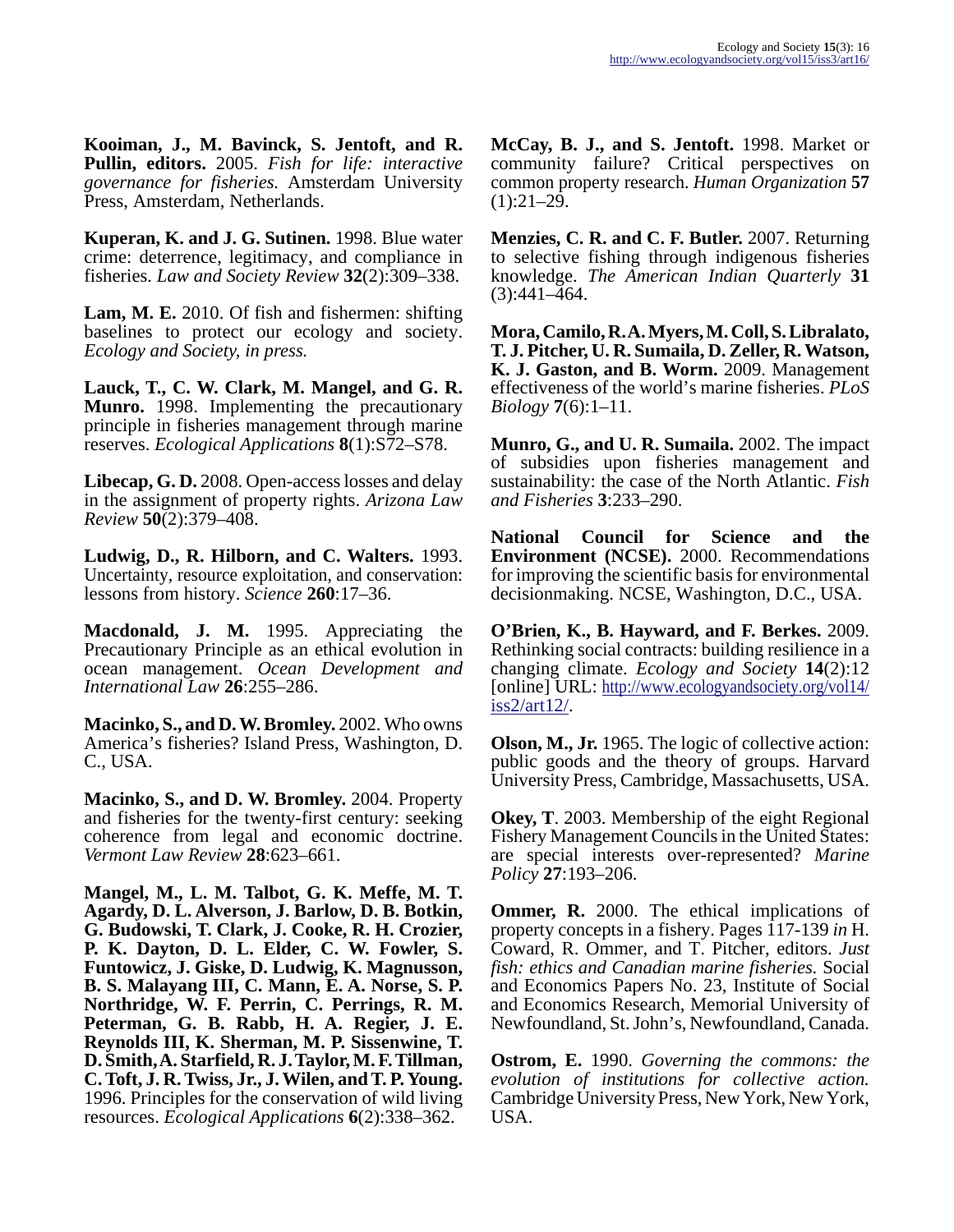**Kooiman, J., M. Bavinck, S. Jentoft, and R. Pullin, editors.** 2005. *Fish for life: interactive governance for fisheries.* Amsterdam University Press, Amsterdam, Netherlands.

**Kuperan, K. and J. G. Sutinen.** 1998. Blue water crime: deterrence, legitimacy, and compliance in fisheries. *Law and Society Review* **32**(2):309–338.

**Lam, M. E.** 2010. Of fish and fishermen: shifting baselines to protect our ecology and society. *Ecology and Society, in press.*

**Lauck, T., C. W. Clark, M. Mangel, and G. R. Munro.** 1998. Implementing the precautionary principle in fisheries management through marine reserves. *Ecological Applications* **8**(1):S72–S78.

**Libecap, G. D.** 2008. Open-access losses and delay in the assignment of property rights. *Arizona Law Review* **50**(2):379–408.

**Ludwig, D., R. Hilborn, and C. Walters.** 1993. Uncertainty, resource exploitation, and conservation: lessons from history. *Science* **260**:17–36.

**Macdonald, J. M.** 1995. Appreciating the Precautionary Principle as an ethical evolution in ocean management. *Ocean Development and International Law* **26**:255–286.

**Macinko, S., and D. W. Bromley.** 2002. Who owns America's fisheries? Island Press, Washington, D. C., USA.

**Macinko, S., and D. W. Bromley.** 2004. Property and fisheries for the twenty-first century: seeking coherence from legal and economic doctrine. *Vermont Law Review* **28**:623–661.

**Mangel, M., L. M. Talbot, G. K. Meffe, M. T. Agardy, D. L. Alverson, J. Barlow, D. B. Botkin, G. Budowski, T. Clark, J. Cooke, R. H. Crozier, P. K. Dayton, D. L. Elder, C. W. Fowler, S. Funtowicz, J. Giske, D. Ludwig, K. Magnusson, B. S. Malayang III, C. Mann, E. A. Norse, S. P. Northridge, W. F. Perrin, C. Perrings, R. M. Peterman, G. B. Rabb, H. A. Regier, J. E. Reynolds III, K. Sherman, M. P. Sissenwine, T. D. Smith, A. Starfield, R. J. Taylor, M. F. Tillman, C. Toft, J. R. Twiss, Jr., J. Wilen, and T. P. Young.** 1996. Principles for the conservation of wild living resources. *Ecological Applications* **6**(2):338–362.

**McCay, B. J., and S. Jentoft.** 1998. Market or community failure? Critical perspectives on common property research. *Human Organization* **57**  $(1):21-29.$ 

**Menzies, C. R. and C. F. Butler.** 2007. Returning to selective fishing through indigenous fisheries knowledge. *The American Indian Quarterly* **31**  $(3):441-464.$ 

**Mora, Camilo, R. A. Myers, M. Coll, S. Libralato, T. J. Pitcher, U. R. Sumaila, D. Zeller, R. Watson, K. J. Gaston, and B. Worm.** 2009. Management effectiveness of the world's marine fisheries. *PLoS Biology* **7**(6):1–11.

**Munro, G., and U. R. Sumaila.** 2002. The impact of subsidies upon fisheries management and sustainability: the case of the North Atlantic. *Fish and Fisheries* **3**:233–290.

**National Council for Science and the Environment (NCSE).** 2000. Recommendations for improving the scientific basis for environmental decisionmaking. NCSE, Washington, D.C., USA.

**O'Brien, K., B. Hayward, and F. Berkes.** 2009. Rethinking social contracts: building resilience in a changing climate. *Ecology and Society* **14**(2):12 [online] URL: [http://www.ecologyandsociety.org/vol14/](http://www.ecologyandsociety.org/vol14/iss2/art12/) [iss2/art12/](http://www.ecologyandsociety.org/vol14/iss2/art12/).

**Olson, M., Jr.** 1965. The logic of collective action: public goods and the theory of groups. Harvard University Press, Cambridge, Massachusetts, USA.

**Okey, T**. 2003. Membership of the eight Regional Fishery Management Councils in the United States: are special interests over-represented? *Marine Policy* **27**:193–206.

**Ommer, R.** 2000. The ethical implications of property concepts in a fishery. Pages 117-139 *in* H. Coward, R. Ommer, and T. Pitcher, editors. *Just fish: ethics and Canadian marine fisheries.* Social and Economics Papers No. 23, Institute of Social and Economics Research, Memorial University of Newfoundland, St. John's, Newfoundland, Canada.

**Ostrom, E.** 1990. *Governing the commons: the evolution of institutions for collective action.* Cambridge University Press, New York, New York, USA.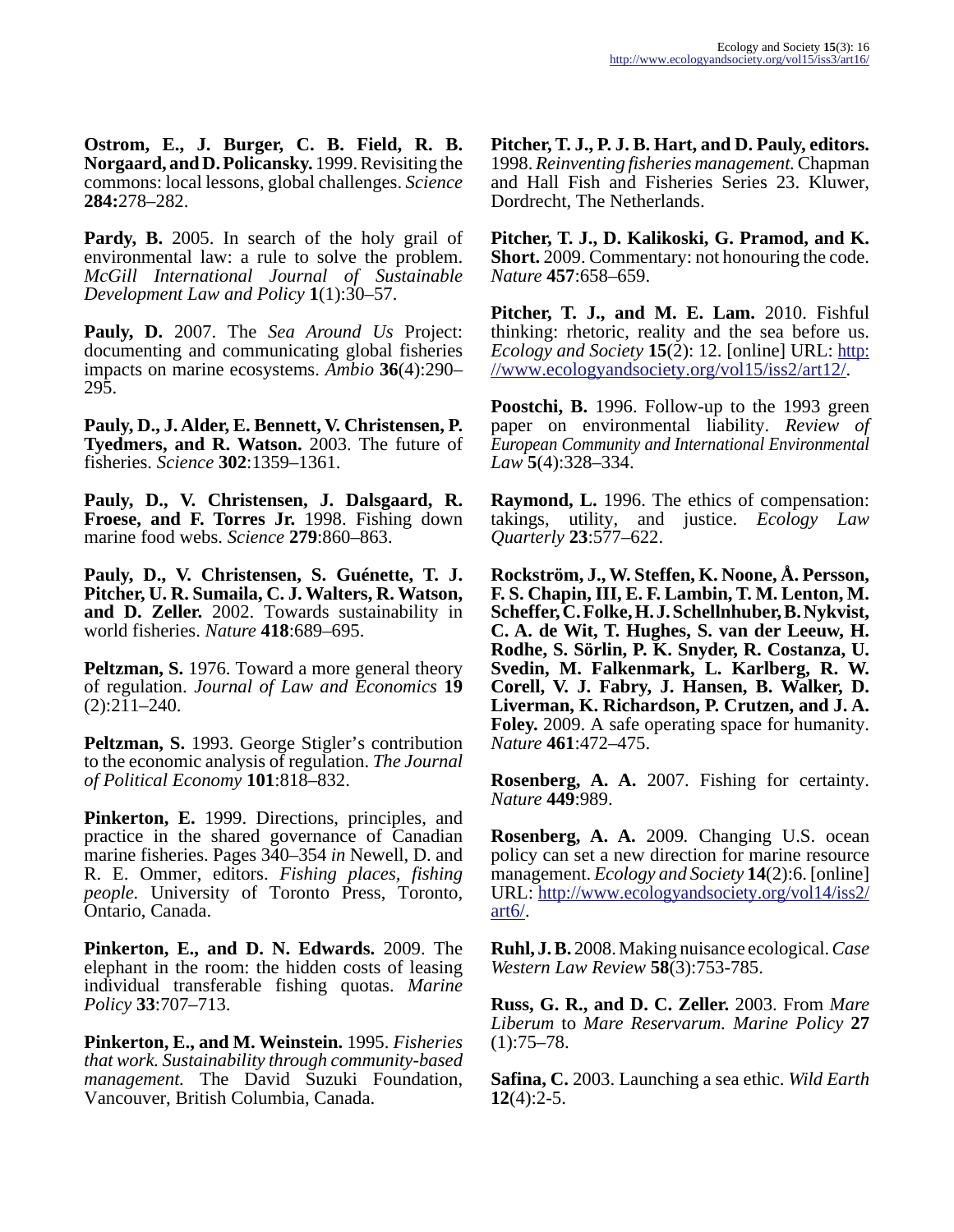**Ostrom, E., J. Burger, C. B. Field, R. B. Norgaard, and D. Policansky.** 1999. Revisiting the commons: local lessons, global challenges. *Science* **284:**278–282.

**Pardy, B.** 2005. In search of the holy grail of environmental law: a rule to solve the problem. *McGill International Journal of Sustainable Development Law and Policy* **1**(1):30–57.

**Pauly, D.** 2007. The *Sea Around Us* Project: documenting and communicating global fisheries impacts on marine ecosystems. *Ambio* **36**(4):290– 295.

**Pauly, D., J. Alder, E. Bennett, V. Christensen, P. Tyedmers, and R. Watson.** 2003. The future of fisheries. *Science* **302**:1359–1361.

**Pauly, D., V. Christensen, J. Dalsgaard, R. Froese, and F. Torres Jr.** 1998. Fishing down marine food webs. *Science* **279**:860–863.

**Pauly, D., V. Christensen, S. Guénette, T. J. Pitcher, U. R. Sumaila, C. J. Walters, R. Watson, and D. Zeller.** 2002. Towards sustainability in world fisheries. *Nature* **418**:689–695.

**Peltzman, S.** 1976. Toward a more general theory of regulation. *Journal of Law and Economics* **19**  $(2):211-240.$ 

**Peltzman, S.** 1993. George Stigler's contribution to the economic analysis of regulation. *The Journal of Political Economy* **101**:818–832.

**Pinkerton, E.** 1999. Directions, principles, and practice in the shared governance of Canadian marine fisheries. Pages 340–354 *in* Newell, D. and R. E. Ommer, editors. *Fishing places, fishing people.* University of Toronto Press, Toronto, Ontario, Canada.

**Pinkerton, E., and D. N. Edwards.** 2009. The elephant in the room: the hidden costs of leasing individual transferable fishing quotas. *Marine Policy* **33**:707–713.

**Pinkerton, E., and M. Weinstein.** 1995. *Fisheries that work. Sustainability through community-based management.* The David Suzuki Foundation, Vancouver, British Columbia, Canada.

**Pitcher, T. J., P. J. B. Hart, and D. Pauly, editors.** 1998. *Reinventing fisheries management.* Chapman and Hall Fish and Fisheries Series 23. Kluwer, Dordrecht, The Netherlands.

**Pitcher, T. J., D. Kalikoski, G. Pramod, and K. Short.** 2009. Commentary: not honouring the code. *Nature* **457**:658–659.

**Pitcher, T. J., and M. E. Lam.** 2010. Fishful thinking: rhetoric, reality and the sea before us. *Ecology and Society* **15**(2): 12. [online] URL: [http:](http://www.ecologyandsociety.org/vol15/iss2/art12/) [//www.ecologyandsociety.org/vol15/iss2/art12/.](http://www.ecologyandsociety.org/vol15/iss2/art12/)

**Poostchi, B.** 1996. Follow-up to the 1993 green paper on environmental liability. *Review of European Community and International Environmental Law* **5**(4):328–334.

**Raymond, L.** 1996. The ethics of compensation: takings, utility, and justice. *Ecology Law Quarterly* **23**:577–622.

**Rockström, J., W. Steffen, K. Noone, Å. Persson, F. S. Chapin, III, E. F. Lambin, T. M. Lenton, M. Scheffer, C. Folke, H. J. Schellnhuber, B. Nykvist, C. A. de Wit, T. Hughes, S. van der Leeuw, H. Rodhe, S. Sörlin, P. K. Snyder, R. Costanza, U. Svedin, M. Falkenmark, L. Karlberg, R. W. Corell, V. J. Fabry, J. Hansen, B. Walker, D. Liverman, K. Richardson, P. Crutzen, and J. A. Foley.** 2009. A safe operating space for humanity. *Nature* **461**:472–475.

**Rosenberg, A. A.** 2007. Fishing for certainty. *Nature* **449**:989.

**Rosenberg, A. A.** 2009*.* Changing U.S. ocean policy can set a new direction for marine resource management. *Ecology and Society* **14**(2):6. [online] URL: [http://www.ecologyandsociety.org/vol14/iss2/](http://www.ecologyandsociety.org/vol14/iss2/art6/) [art6/.](http://www.ecologyandsociety.org/vol14/iss2/art6/)

**Ruhl, J. B.** 2008. Making nuisance ecological. *Case Western Law Review* **58**(3):753-785.

**Russ, G. R., and D. C. Zeller.** 2003. From *Mare Liberum* to *Mare Reservarum. Marine Policy* **27**  $(1):75-78.$ 

**Safina, C.** 2003. Launching a sea ethic. *Wild Earth* **12**(4):2-5.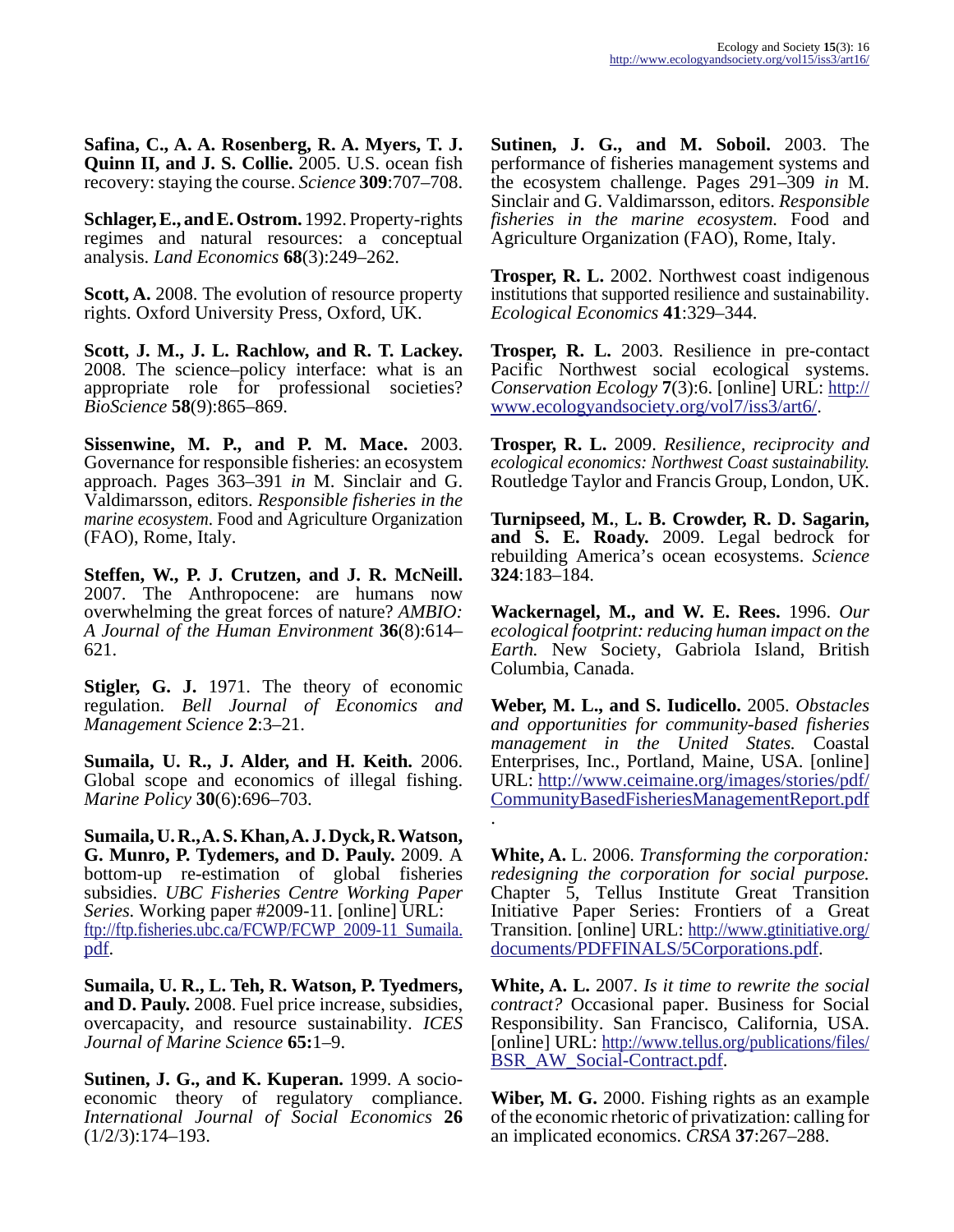**Safina, C., A. A. Rosenberg, R. A. Myers, T. J. Quinn II, and J. S. Collie.** 2005. U.S. ocean fish recovery: staying the course. *Science* **309**:707–708.

**Schlager, E., and E. Ostrom.** 1992. Property-rights regimes and natural resources: a conceptual analysis. *Land Economics* **68**(3):249–262.

**Scott, A.** 2008. The evolution of resource property rights. Oxford University Press, Oxford, UK.

**Scott, J. M., J. L. Rachlow, and R. T. Lackey.** 2008. The science–policy interface: what is an appropriate role for professional societies? *BioScience* **58**(9):865–869.

**Sissenwine, M. P., and P. M. Mace.** 2003. Governance for responsible fisheries: an ecosystem approach. Pages 363–391 *in* M. Sinclair and G. Valdimarsson, editors. *Responsible fisheries in the marine ecosystem*. Food and Agriculture Organization (FAO), Rome, Italy.

**Steffen, W., P. J. Crutzen, and J. R. McNeill.** 2007. The Anthropocene: are humans now overwhelming the great forces of nature? *AMBIO: A Journal of the Human Environment* **36**(8):614– 621.

**Stigler, G. J.** 1971. The theory of economic regulation. *Bell Journal of Economics and Management Science* **2**:3–21.

**Sumaila, U. R., J. Alder, and H. Keith.** 2006. Global scope and economics of illegal fishing. *Marine Policy* **30**(6):696–703.

**Sumaila, U. R., A. S. Khan, A. J. Dyck, R. Watson, G. Munro, P. Tydemers, and D. Pauly.** 2009. A bottom-up re-estimation of global fisheries subsidies. *UBC Fisheries Centre Working Paper Series.* Working paper #2009-11. [online] URL: [ftp://ftp.fisheries.ubc.ca/FCWP/FCWP\\_2009-11\\_Sumaila.](http://ftp://ftp.fisheries.ubc.ca/FCWP/FCWP_2009-11_Sumaila.pdf) [pdf.](http://ftp://ftp.fisheries.ubc.ca/FCWP/FCWP_2009-11_Sumaila.pdf)

**Sumaila, U. R., L. Teh, R. Watson, P. Tyedmers, and D. Pauly.** 2008. Fuel price increase, subsidies, overcapacity, and resource sustainability. *ICES Journal of Marine Science* **65:**1–9.

**Sutinen, J. G., and K. Kuperan.** 1999. A socioeconomic theory of regulatory compliance. *International Journal of Social Economics* **26** (1/2/3):174–193.

**Sutinen, J. G., and M. Soboil.** 2003. The performance of fisheries management systems and the ecosystem challenge. Pages 291–309 *in* M. Sinclair and G. Valdimarsson, editors. *Responsible fisheries in the marine ecosystem.* Food and Agriculture Organization (FAO), Rome, Italy.

**Trosper, R. L.** 2002. Northwest coast indigenous institutions that supported resilience and sustainability. *Ecological Economics* **41**:329–344.

**Trosper, R. L.** 2003. Resilience in pre-contact Pacific Northwest social ecological systems. *Conservation Ecology* **7**(3):6. [online] URL: [http://](http://www.ecologyandsociety.org/vol7/iss3/art6/) [www.ecologyandsociety.org/vol7/iss3/art6/](http://www.ecologyandsociety.org/vol7/iss3/art6/).

**Trosper, R. L.** 2009. *Resilience, reciprocity and ecological economics: Northwest Coast sustainability.* Routledge Taylor and Francis Group, London, UK.

**Turnipseed, M.**, **L. B. Crowder, R. D. Sagarin, and S. E. Roady.** 2009. Legal bedrock for rebuilding America's ocean ecosystems. *Science* **324**:183–184.

**Wackernagel, M., and W. E. Rees.** 1996. *Our ecological footprint: reducing human impact on the Earth.* New Society, Gabriola Island, British Columbia, Canada.

**Weber, M. L., and S. Iudicello.** 2005. *Obstacles and opportunities for community-based fisheries management in the United States.* Coastal Enterprises, Inc., Portland, Maine, USA. [online] URL: [http://www.ceimaine.org/images/stories/pdf/](http://www.ceimaine.org/images/stories/pdf/CommunityBasedFisheriesManagementReport.pdf) [CommunityBasedFisheriesManagementReport.pdf](http://www.ceimaine.org/images/stories/pdf/CommunityBasedFisheriesManagementReport.pdf) .

**White, A.** L. 2006. *Transforming the corporation: redesigning the corporation for social purpose.* Chapter 5, Tellus Institute Great Transition Initiative Paper Series: Frontiers of a Great Transition. [online] URL: [http://www.gtinitiative.org/](http://www.gtinitiative.org/documents/PDFFINALS/5Corporations.pdf) [documents/PDFFINALS/5Corporations.pdf](http://www.gtinitiative.org/documents/PDFFINALS/5Corporations.pdf).

**White, A. L.** 2007. *Is it time to rewrite the social contract?* Occasional paper. Business for Social Responsibility. San Francisco, California, USA. [online] URL: [http://www.tellus.org/publications/files/](http://www.tellus.org/publications/files/BSR_AW_Social-Contract.pdf) [BSR\\_AW\\_Social-Contract.pdf.](http://www.tellus.org/publications/files/BSR_AW_Social-Contract.pdf)

**Wiber, M. G.** 2000. Fishing rights as an example of the economic rhetoric of privatization: calling for an implicated economics. *CRSA* **37**:267–288.